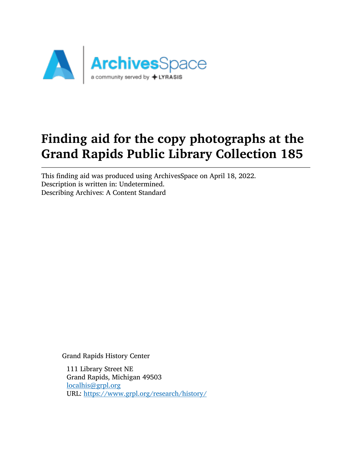

# Finding aid for the copy photographs at the Grand Rapids Public Library Collection 185

This finding aid was produced using ArchivesSpace on April 18, 2022. Description is written in: Undetermined. Describing Archives: A Content Standard

Grand Rapids History Center

111 Library Street NE Grand Rapids, Michigan 49503 [localhis@grpl.org](mailto:localhis@grpl.org) URL: <https://www.grpl.org/research/history/>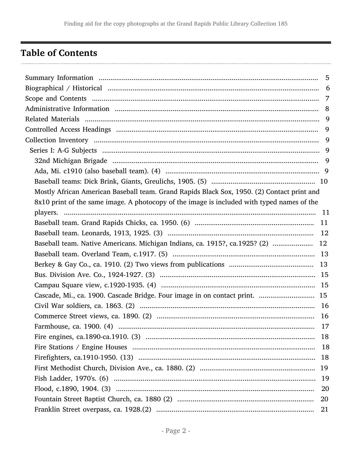# <span id="page-1-0"></span>**Table of Contents**

|                                                                                            | 5  |
|--------------------------------------------------------------------------------------------|----|
|                                                                                            |    |
|                                                                                            |    |
|                                                                                            |    |
|                                                                                            |    |
|                                                                                            |    |
|                                                                                            |    |
|                                                                                            |    |
|                                                                                            |    |
|                                                                                            |    |
|                                                                                            |    |
| Mostly African American Baseball team. Grand Rapids Black Sox, 1950. (2) Contact print and |    |
| 8x10 print of the same image. A photocopy of the image is included with typed names of the |    |
|                                                                                            |    |
|                                                                                            |    |
|                                                                                            |    |
| Baseball team. Native Americans. Michigan Indians, ca. 1915?, ca.1925? (2)  12             |    |
|                                                                                            |    |
|                                                                                            |    |
|                                                                                            |    |
|                                                                                            |    |
| Cascade, Mi., ca. 1900. Cascade Bridge. Four image in on contact print.  15                |    |
|                                                                                            |    |
|                                                                                            |    |
|                                                                                            |    |
|                                                                                            |    |
|                                                                                            |    |
|                                                                                            |    |
|                                                                                            |    |
|                                                                                            |    |
|                                                                                            | 20 |
|                                                                                            | 20 |
|                                                                                            | 21 |
|                                                                                            |    |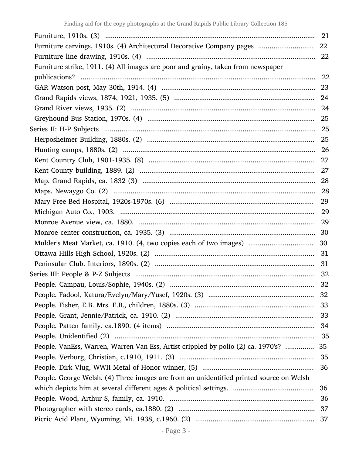|                                                                                         | -21 |
|-----------------------------------------------------------------------------------------|-----|
| Furniture carvings, 1910s. (4) Architectural Decorative Company pages                   | 22  |
|                                                                                         |     |
| Furniture strike, 1911. (4) All images are poor and grainy, taken from newspaper        |     |
|                                                                                         |     |
|                                                                                         |     |
|                                                                                         |     |
|                                                                                         |     |
|                                                                                         |     |
|                                                                                         |     |
|                                                                                         |     |
|                                                                                         |     |
|                                                                                         |     |
|                                                                                         |     |
|                                                                                         |     |
|                                                                                         |     |
|                                                                                         |     |
|                                                                                         |     |
|                                                                                         |     |
|                                                                                         |     |
| Mulder's Meat Market, ca. 1910. (4, two copies each of two images)                      | 30  |
|                                                                                         | 31  |
|                                                                                         |     |
|                                                                                         |     |
|                                                                                         |     |
|                                                                                         | 32  |
|                                                                                         |     |
|                                                                                         | 33  |
|                                                                                         |     |
|                                                                                         | 35  |
| People. VanEss, Warren, Warren Van Ess, Artist crippled by polio (2) ca. 1970's?        | 35  |
|                                                                                         | 35  |
|                                                                                         |     |
| People. George Welsh. (4) Three images are from an unidentified printed source on Welsh |     |
|                                                                                         | 36  |
|                                                                                         | 36  |
|                                                                                         |     |
|                                                                                         |     |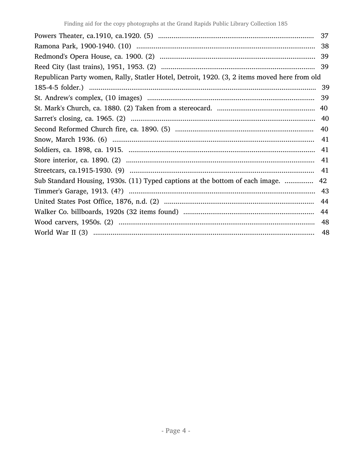|                                                                                              | 37  |
|----------------------------------------------------------------------------------------------|-----|
|                                                                                              | 38  |
|                                                                                              |     |
|                                                                                              |     |
| Republican Party women, Rally, Statler Hotel, Detroit, 1920. (3, 2 items moved here from old |     |
|                                                                                              |     |
|                                                                                              | 39  |
|                                                                                              | 40  |
|                                                                                              |     |
|                                                                                              |     |
|                                                                                              | -41 |
|                                                                                              |     |
|                                                                                              | -41 |
|                                                                                              | -41 |
| Sub Standard Housing, 1930s. (11) Typed captions at the bottom of each image.                | 42  |
|                                                                                              |     |
|                                                                                              | 44  |
|                                                                                              | 44  |
|                                                                                              | 48  |
|                                                                                              | 48  |
|                                                                                              |     |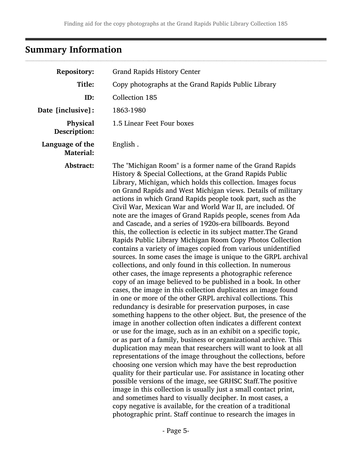# <span id="page-4-0"></span>Summary Information

| <b>Repository:</b>                  | <b>Grand Rapids History Center</b>                                                                                                                                                                                                                                                                                                                                                                                                                                                                                                                                                                                                                                                                                                                                                                                                                                                                                                                                                                                                                                                                                                                                                                                                                                                                                                                                                                                                                                                                                                                                                                                                                                                                                                                                                                                                                                                                                                                                                                                                                                       |
|-------------------------------------|--------------------------------------------------------------------------------------------------------------------------------------------------------------------------------------------------------------------------------------------------------------------------------------------------------------------------------------------------------------------------------------------------------------------------------------------------------------------------------------------------------------------------------------------------------------------------------------------------------------------------------------------------------------------------------------------------------------------------------------------------------------------------------------------------------------------------------------------------------------------------------------------------------------------------------------------------------------------------------------------------------------------------------------------------------------------------------------------------------------------------------------------------------------------------------------------------------------------------------------------------------------------------------------------------------------------------------------------------------------------------------------------------------------------------------------------------------------------------------------------------------------------------------------------------------------------------------------------------------------------------------------------------------------------------------------------------------------------------------------------------------------------------------------------------------------------------------------------------------------------------------------------------------------------------------------------------------------------------------------------------------------------------------------------------------------------------|
| Title:                              | Copy photographs at the Grand Rapids Public Library                                                                                                                                                                                                                                                                                                                                                                                                                                                                                                                                                                                                                                                                                                                                                                                                                                                                                                                                                                                                                                                                                                                                                                                                                                                                                                                                                                                                                                                                                                                                                                                                                                                                                                                                                                                                                                                                                                                                                                                                                      |
| ID:                                 | <b>Collection 185</b>                                                                                                                                                                                                                                                                                                                                                                                                                                                                                                                                                                                                                                                                                                                                                                                                                                                                                                                                                                                                                                                                                                                                                                                                                                                                                                                                                                                                                                                                                                                                                                                                                                                                                                                                                                                                                                                                                                                                                                                                                                                    |
| Date [inclusive]:                   | 1863-1980                                                                                                                                                                                                                                                                                                                                                                                                                                                                                                                                                                                                                                                                                                                                                                                                                                                                                                                                                                                                                                                                                                                                                                                                                                                                                                                                                                                                                                                                                                                                                                                                                                                                                                                                                                                                                                                                                                                                                                                                                                                                |
| Physical<br>Description:            | 1.5 Linear Feet Four boxes                                                                                                                                                                                                                                                                                                                                                                                                                                                                                                                                                                                                                                                                                                                                                                                                                                                                                                                                                                                                                                                                                                                                                                                                                                                                                                                                                                                                                                                                                                                                                                                                                                                                                                                                                                                                                                                                                                                                                                                                                                               |
| Language of the<br><b>Material:</b> | English.                                                                                                                                                                                                                                                                                                                                                                                                                                                                                                                                                                                                                                                                                                                                                                                                                                                                                                                                                                                                                                                                                                                                                                                                                                                                                                                                                                                                                                                                                                                                                                                                                                                                                                                                                                                                                                                                                                                                                                                                                                                                 |
| Abstract:                           | The "Michigan Room" is a former name of the Grand Rapids<br>History & Special Collections, at the Grand Rapids Public<br>Library, Michigan, which holds this collection. Images focus<br>on Grand Rapids and West Michigan views. Details of military<br>actions in which Grand Rapids people took part, such as the<br>Civil War, Mexican War and World War II, are included. Of<br>note are the images of Grand Rapids people, scenes from Ada<br>and Cascade, and a series of 1920s-era billboards. Beyond<br>this, the collection is eclectic in its subject matter. The Grand<br>Rapids Public Library Michigan Room Copy Photos Collection<br>contains a variety of images copied from various unidentified<br>sources. In some cases the image is unique to the GRPL archival<br>collections, and only found in this collection. In numerous<br>other cases, the image represents a photographic reference<br>copy of an image believed to be published in a book. In other<br>cases, the image in this collection duplicates an image found<br>in one or more of the other GRPL archival collections. This<br>redundancy is desirable for preservation purposes, in case<br>something happens to the other object. But, the presence of the<br>image in another collection often indicates a different context<br>or use for the image, such as in an exhibit on a specific topic,<br>or as part of a family, business or organizational archive. This<br>duplication may mean that researchers will want to look at all<br>representations of the image throughout the collections, before<br>choosing one version which may have the best reproduction<br>quality for their particular use. For assistance in locating other<br>possible versions of the image, see GRHSC Staff. The positive<br>image in this collection is usually just a small contact print,<br>and sometimes hard to visually decipher. In most cases, a<br>copy negative is available, for the creation of a traditional<br>photographic print. Staff continue to research the images in |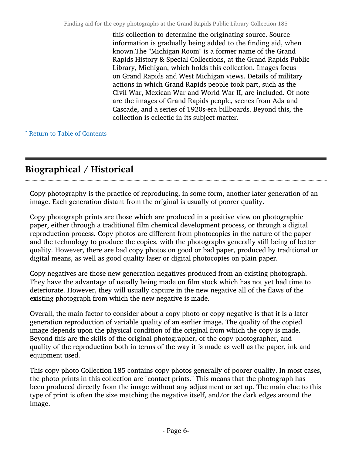this collection to determine the originating source. Source information is gradually being added to the finding aid, when known.The "Michigan Room" is a former name of the Grand Rapids History & Special Collections, at the Grand Rapids Public Library, Michigan, which holds this collection. Images focus on Grand Rapids and West Michigan views. Details of military actions in which Grand Rapids people took part, such as the Civil War, Mexican War and World War II, are included. Of note are the images of Grand Rapids people, scenes from Ada and Cascade, and a series of 1920s-era billboards. Beyond this, the collection is eclectic in its subject matter.

^ [Return to Table of Contents](#page-1-0)

# <span id="page-5-0"></span>Biographical / Historical

Copy photography is the practice of reproducing, in some form, another later generation of an image. Each generation distant from the original is usually of poorer quality.

Copy photograph prints are those which are produced in a positive view on photographic paper, either through a traditional film chemical development process, or through a digital reproduction process. Copy photos are different from photocopies in the nature of the paper and the technology to produce the copies, with the photographs generally still being of better quality. However, there are bad copy photos on good or bad paper, produced by traditional or digital means, as well as good quality laser or digital photocopies on plain paper.

Copy negatives are those new generation negatives produced from an existing photograph. They have the advantage of usually being made on film stock which has not yet had time to deteriorate. However, they will usually capture in the new negative all of the flaws of the existing photograph from which the new negative is made.

Overall, the main factor to consider about a copy photo or copy negative is that it is a later generation reproduction of variable quality of an earlier image. The quality of the copied image depends upon the physical condition of the original from which the copy is made. Beyond this are the skills of the original photographer, of the copy photographer, and quality of the reproduction both in terms of the way it is made as well as the paper, ink and equipment used.

This copy photo Collection 185 contains copy photos generally of poorer quality. In most cases, the photo prints in this collection are "contact prints." This means that the photograph has been produced directly from the image without any adjustment or set up. The main clue to this type of print is often the size matching the negative itself, and/or the dark edges around the image.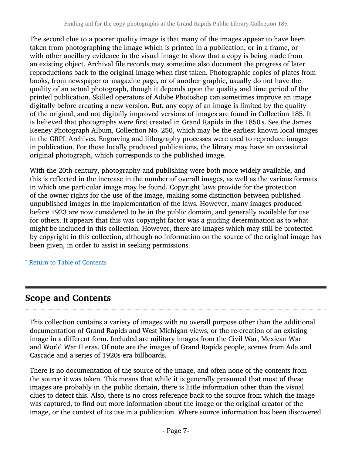The second clue to a poorer quality image is that many of the images appear to have been taken from photographing the image which is printed in a publication, or in a frame, or with other ancillary evidence in the visual image to show that a copy is being made from an existing object. Archival file records may sometime also document the progress of later reproductions back to the original image when first taken. Photographic copies of plates from books, from newspaper or magazine page, or of another graphic, usually do not have the quality of an actual photograph, though it depends upon the quality and time period of the printed publication. Skilled operators of Adobe Photoshop can sometimes improve an image digitally before creating a new version. But, any copy of an image is limited by the quality of the original, and not digitally improved versions of images are found in Collection 185. It is believed that photographs were first created in Grand Rapids in the 1850's. See the James Keeney Photograph Album, Collection No. 250, which may be the earliest known local images in the GRPL Archives. Engraving and lithography processes were used to reproduce images in publication. For those locally produced publications, the library may have an occasional original photograph, which corresponds to the published image.

With the 20th century, photography and publishing were both more widely available, and this is reflected in the increase in the number of overall images, as well as the various formats in which one particular image may be found. Copyright laws provide for the protection of the owner rights for the use of the image, making some distinction between published unpublished images in the implementation of the laws. However, many images produced before 1923 are now considered to be in the public domain, and generally available for use for others. It appears that this was copyright factor was a guiding determination as to what might be included in this collection. However, there are images which may still be protected by copyright in this collection, although no information on the source of the original image has been given, in order to assist in seeking permissions.

^ [Return to Table of Contents](#page-1-0)

# <span id="page-6-0"></span>Scope and Contents

This collection contains a variety of images with no overall purpose other than the additional documentation of Grand Rapids and West Michigan views, or the re-creation of an existing image in a different form. Included are military images from the Civil War, Mexican War and World War II eras. Of note are the images of Grand Rapids people, scenes from Ada and Cascade and a series of 1920s-era billboards.

There is no documentation of the source of the image, and often none of the contents from the source it was taken. This means that while it is generally presumed that most of these images are probably in the public domain, there is little information other than the visual clues to detect this. Also, there is no cross reference back to the source from which the image was captured, to find out more information about the image or the original creator of the image, or the context of its use in a publication. Where source information has been discovered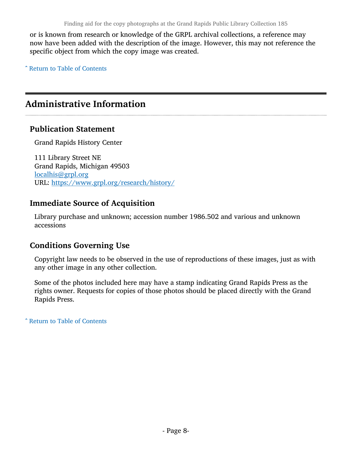or is known from research or knowledge of the GRPL archival collections, a reference may now have been added with the description of the image. However, this may not reference the specific object from which the copy image was created.

^ [Return to Table of Contents](#page-1-0)

# <span id="page-7-0"></span>Administrative Information

#### Publication Statement

Grand Rapids History Center

111 Library Street NE Grand Rapids, Michigan 49503 [localhis@grpl.org](mailto:localhis@grpl.org) URL: <https://www.grpl.org/research/history/>

#### Immediate Source of Acquisition

Library purchase and unknown; accession number 1986.502 and various and unknown accessions

#### Conditions Governing Use

Copyright law needs to be observed in the use of reproductions of these images, just as with any other image in any other collection.

Some of the photos included here may have a stamp indicating Grand Rapids Press as the rights owner. Requests for copies of those photos should be placed directly with the Grand Rapids Press.

^ [Return to Table of Contents](#page-1-0)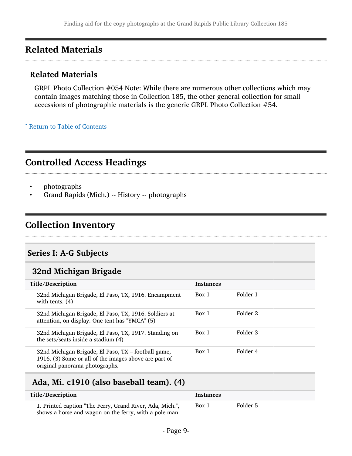# <span id="page-8-0"></span>Related Materials

#### Related Materials

GRPL Photo Collection #054 Note: While there are numerous other collections which may contain images matching those in Collection 185, the other general collection for small accessions of photographic materials is the generic GRPL Photo Collection #54.

^ [Return to Table of Contents](#page-1-0)

## <span id="page-8-1"></span>Controlled Access Headings

- photographs
- Grand Rapids (Mich.) -- History -- photographs

# <span id="page-8-2"></span>Collection Inventory

#### <span id="page-8-3"></span>Series I: A-G Subjects

#### <span id="page-8-4"></span>32nd Michigan Brigade

| Title/Description                                                                                                                              |                                                       | <b>Instances</b> |          |
|------------------------------------------------------------------------------------------------------------------------------------------------|-------------------------------------------------------|------------------|----------|
| with tents. $(4)$                                                                                                                              | 32nd Michigan Brigade, El Paso, TX, 1916. Encampment  | Box 1            | Folder 1 |
| 32nd Michigan Brigade, El Paso, TX, 1916. Soldiers at<br>attention, on display. One tent has "YMCA" (5)                                        |                                                       | Box 1            | Folder 2 |
| the sets/seats inside a stadium (4)                                                                                                            | 32nd Michigan Brigade, El Paso, TX, 1917. Standing on | Box 1            | Folder 3 |
| 32nd Michigan Brigade, El Paso, TX - football game,<br>1916. (3) Some or all of the images above are part of<br>original panorama photographs. |                                                       | Box 1            | Folder 4 |

#### <span id="page-8-5"></span>Ada, Mi. c1910 (also baseball team). (4)

| Title/Description                                                                                                 | <b>Instances</b> |          |
|-------------------------------------------------------------------------------------------------------------------|------------------|----------|
| 1. Printed caption "The Ferry, Grand River, Ada, Mich.",<br>shows a horse and wagon on the ferry, with a pole man | Box 1            | Folder 5 |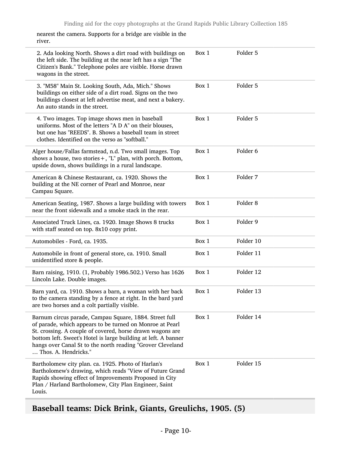nearest the camera. Supports for a bridge are visible in the river.

| 2. Ada looking North. Shows a dirt road with buildings on<br>the left side. The building at the near left has a sign "The<br>Citizen's Bank." Telephone poles are visible. Horse drawn<br>wagons in the street.                                                                                                                         | Box 1 | Folder 5            |
|-----------------------------------------------------------------------------------------------------------------------------------------------------------------------------------------------------------------------------------------------------------------------------------------------------------------------------------------|-------|---------------------|
| 3. "M58" Main St. Looking South, Ada, Mich." Shows<br>buildings on either side of a dirt road. Signs on the two<br>buildings closest at left advertise meat, and next a bakery.<br>An auto stands in the street.                                                                                                                        | Box 1 | Folder 5            |
| 4. Two images. Top image shows men in baseball<br>uniforms. Most of the letters "A D A" on their blouses,<br>but one has "REEDS". B. Shows a baseball team in street<br>clothes. Identified on the verso as "softball."                                                                                                                 | Box 1 | Folder 5            |
| Alger house/Fallas farmstead, n.d. Two small images. Top<br>shows a house, two stories +, "L" plan, with porch. Bottom,<br>upside down, shows buildings in a rural landscape.                                                                                                                                                           | Box 1 | Folder <sub>6</sub> |
| American & Chinese Restaurant, ca. 1920. Shows the<br>building at the NE corner of Pearl and Monroe, near<br>Campau Square.                                                                                                                                                                                                             | Box 1 | Folder 7            |
| American Seating, 1987. Shows a large building with towers<br>near the front sidewalk and a smoke stack in the rear.                                                                                                                                                                                                                    | Box 1 | Folder <sub>8</sub> |
| Associated Truck Lines, ca. 1920. Image Shows 8 trucks<br>with staff seated on top. 8x10 copy print.                                                                                                                                                                                                                                    | Box 1 | Folder 9            |
| Automobiles - Ford, ca. 1935.                                                                                                                                                                                                                                                                                                           | Box 1 | Folder 10           |
| Automobile in front of general store, ca. 1910. Small<br>unidentified store & people.                                                                                                                                                                                                                                                   | Box 1 | Folder 11           |
| Barn raising, 1910. (1, Probably 1986.502.) Verso has 1626<br>Lincoln Lake. Double images.                                                                                                                                                                                                                                              | Box 1 | Folder 12           |
| Barn yard, ca. 1910. Shows a barn, a woman with her back<br>to the camera standing by a fence at right. In the bard yard<br>are two horses and a colt partially visible.                                                                                                                                                                | Box 1 | Folder 13           |
| Barnum circus parade, Campau Square, 1884. Street full<br>of parade, which appears to be turned on Monroe at Pearl<br>St. crossing. A couple of covered, horse drawn wagons are<br>bottom left. Sweet's Hotel is large building at left. A banner<br>hangs over Canal St to the north reading "Grover Cleveland<br>Thos. A. Hendricks." | Box 1 | Folder 14           |
| Bartholomew city plan. ca. 1925. Photo of Harlan's<br>Bartholomew's drawing, which reads "View of Future Grand<br>Rapids showing effect of Improvements Proposed in City<br>Plan / Harland Bartholomew, City Plan Engineer, Saint<br>Louis.                                                                                             | Box 1 | Folder 15           |

# <span id="page-9-0"></span>Baseball teams: Dick Brink, Giants, Greulichs, 1905. (5)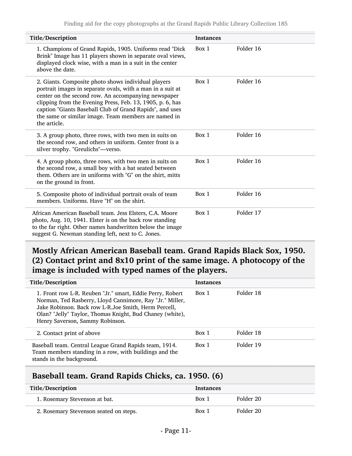| Title/Description                                                                                                                                                                                                                                                                                                                                                         | <b>Instances</b> |           |
|---------------------------------------------------------------------------------------------------------------------------------------------------------------------------------------------------------------------------------------------------------------------------------------------------------------------------------------------------------------------------|------------------|-----------|
| 1. Champions of Grand Rapids, 1905. Uniforms read "Dick<br>Brink" Image has 11 players shown in separate oval views,<br>displayed clock wise, with a man in a suit in the center<br>above the date.                                                                                                                                                                       | Box 1            | Folder 16 |
| 2. Giants. Composite photo shows individual players<br>portrait images in separate ovals, with a man in a suit at<br>center on the second row. An accompanying newspaper<br>clipping from the Evening Press, Feb. 13, 1905, p. 6, has<br>caption "Giants Baseball Club of Grand Rapids", and uses<br>the same or similar image. Team members are named in<br>the article. | Box 1            | Folder 16 |
| 3. A group photo, three rows, with two men in suits on<br>the second row, and others in uniform. Center front is a<br>silver trophy. "Greulichs"-verso.                                                                                                                                                                                                                   | Box 1            | Folder 16 |
| 4. A group photo, three rows, with two men in suits on<br>the second row, a small boy with a bat seated between<br>them. Others are in uniforms with "G" on the shirt, mitts<br>on the ground in front.                                                                                                                                                                   | Box 1            | Folder 16 |
| 5. Composite photo of individual portrait ovals of team<br>members. Uniforms. Have "H" on the shirt.                                                                                                                                                                                                                                                                      | Box 1            | Folder 16 |
| African American Baseball team. Jess Elsters, C.A. Moore<br>photo, Aug. 10, 1941. Elster is on the back row standing<br>to the far right. Other names handwritten below the image<br>suggest G. Newman standing left, next to C. Jones.                                                                                                                                   | Box 1            | Folder 17 |

### <span id="page-10-0"></span>Mostly African American Baseball team. Grand Rapids Black Sox, 1950. (2) Contact print and 8x10 print of the same image. A photocopy of the image is included with typed names of the players.

| Title/Description                                                                                                                                                                                                                                                            | <b>Instances</b> |           |
|------------------------------------------------------------------------------------------------------------------------------------------------------------------------------------------------------------------------------------------------------------------------------|------------------|-----------|
| 1. Front row L-R. Reuben "Jr." smart, Eddie Perry, Robert<br>Norman, Ted Rasberry, Lloyd Cannimore, Ray "Jr." Miller,<br>Jake Robinson. Back row L-R.Joe Smith, Herm Percell,<br>Olan? "Jelly" Taylor, Thomas Knight, Bud Chaney (white),<br>Henry Saverson, Sammy Robinson. | Box 1            | Folder 18 |
| 2. Contact print of above                                                                                                                                                                                                                                                    | Box 1            | Folder 18 |
| Baseball team. Central League Grand Rapids team, 1914.<br>Team members standing in a row, with buildings and the<br>stands in the background.                                                                                                                                | Box 1            | Folder 19 |

#### <span id="page-10-1"></span>Baseball team. Grand Rapids Chicks, ca. 1950. (6)

| Title/Description                      | <b>Instances</b> |           |
|----------------------------------------|------------------|-----------|
| 1. Rosemary Stevenson at bat.          | Box 1            | Folder 20 |
| 2. Rosemary Stevenson seated on steps. | Box 1            | Folder 20 |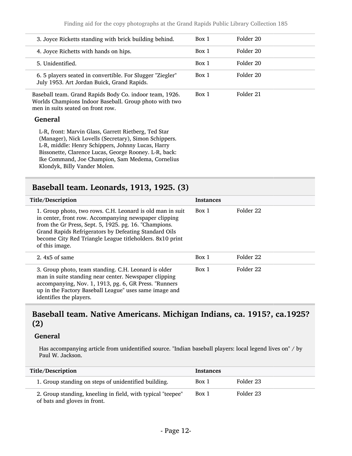| 3. Joyce Ricketts standing with brick building behind.                                                                                                                                                                                                                                                          | Box 1 | Folder 20 |
|-----------------------------------------------------------------------------------------------------------------------------------------------------------------------------------------------------------------------------------------------------------------------------------------------------------------|-------|-----------|
| 4. Joyce Richetts with hands on hips.                                                                                                                                                                                                                                                                           | Box 1 | Folder 20 |
| 5. Unidentified.                                                                                                                                                                                                                                                                                                | Box 1 | Folder 20 |
| 6. 5 players seated in convertible. For Slugger "Ziegler"<br>July 1953. Art Jordan Buick, Grand Rapids.                                                                                                                                                                                                         | Box 1 | Folder 20 |
| Baseball team. Grand Rapids Body Co. indoor team, 1926.<br>Worlds Champions Indoor Baseball. Group photo with two<br>men in suits seated on front row.                                                                                                                                                          | Box 1 | Folder 21 |
| <b>General</b>                                                                                                                                                                                                                                                                                                  |       |           |
| L-R, front: Marvin Glass, Garrett Rietberg, Ted Star<br>(Manager), Nick Lovells (Secretary), Simon Schippers.<br>L-R, middle: Henry Schippers, Johnny Lucas, Harry<br>Bissonette, Clarence Lucas, George Rooney. L-R, back:<br>Ike Command, Joe Champion, Sam Medema, Cornelius<br>Klondyk, Billy Vander Molen. |       |           |

### <span id="page-11-0"></span>Baseball team. Leonards, 1913, 1925. (3)

| Title/Description                                                                                                                                                                                                                                                                                                  | <b>Instances</b> |           |
|--------------------------------------------------------------------------------------------------------------------------------------------------------------------------------------------------------------------------------------------------------------------------------------------------------------------|------------------|-----------|
| 1. Group photo, two rows. C.H. Leonard is old man in suit<br>in center, front row. Accompanying newspaper clipping<br>from the Gr Press, Sept. 5, 1925. pg. 16. "Champions.<br>Grand Rapids Refrigerators by Defeating Standard Oils<br>become City Red Triangle League titleholders. 8x10 print<br>of this image. | Box 1            | Folder 22 |
| 2. $4x5$ of same                                                                                                                                                                                                                                                                                                   | Box 1            | Folder 22 |
| 3. Group photo, team standing. C.H. Leonard is older<br>man in suite standing near center. Newspaper clipping<br>accompanying, Nov. 1, 1913, pg. 6, GR Press. "Runners<br>up in the Factory Baseball League" uses same image and<br>identifies the players.                                                        | Box 1            | Folder 22 |

#### <span id="page-11-1"></span>Baseball team. Native Americans. Michigan Indians, ca. 1915?, ca.1925? (2)

#### General

Has accompanying article from unidentified source. "Indian baseball players: local legend lives on" / by Paul W. Jackson.

| <b>Title/Description</b>                                                                    | <b>Instances</b> |           |
|---------------------------------------------------------------------------------------------|------------------|-----------|
| 1. Group standing on steps of unidentified building.                                        | Box 1            | Folder 23 |
| 2. Group standing, kneeling in field, with typical "teepee"<br>of bats and gloves in front. | Box 1            | Folder 23 |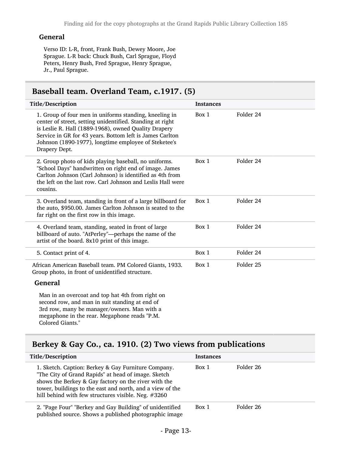#### General

Verso ID: L-R, front, Frank Bush, Dewey Moore, Joe Sprague. L-R back: Chuck Bush, Carl Sprague, Floyd Peters, Henry Bush, Fred Sprague, Henry Sprague, Jr., Paul Sprague.

### <span id="page-12-0"></span>Baseball team. Overland Team, c.1917. (5)

| Title/Description                                                                                                                                                                                                                                                                                                | <b>Instances</b> |                      |
|------------------------------------------------------------------------------------------------------------------------------------------------------------------------------------------------------------------------------------------------------------------------------------------------------------------|------------------|----------------------|
| 1. Group of four men in uniforms standing, kneeling in<br>center of street, setting unidentified. Standing at right<br>is Leslie R. Hall (1889-1968), owned Quality Drapery<br>Service in GR for 43 years. Bottom left is James Carlton<br>Johnson (1890-1977), longtime employee of Steketee's<br>Drapery Dept. | Box 1            | Folder 24            |
| 2. Group photo of kids playing baseball, no uniforms.<br>"School Days" handwritten on right end of image. James<br>Carlton Johnson (Carl Johnson) is identified as 4th from<br>the left on the last row. Carl Johnson and Leslis Hall were<br>cousins.                                                           | Box 1            | Folder 24            |
| 3. Overland team, standing in front of a large billboard for<br>the auto, \$950.00. James Carlton Johnson is seated to the<br>far right on the first row in this image.                                                                                                                                          | Box 1            | Folder 24            |
| 4. Overland team, standing, seated in front of large<br>billboard of auto. "AtPerley"-perhaps the name of the<br>artist of the board. 8x10 print of this image.                                                                                                                                                  | Box 1            | Folder 24            |
| 5. Contact print of 4.                                                                                                                                                                                                                                                                                           | Box 1            | Folder 24            |
| African American Baseball team. PM Colored Giants, 1933.<br>Group photo, in front of unidentified structure.                                                                                                                                                                                                     | Box 1            | Folder <sub>25</sub> |
| <b>General</b>                                                                                                                                                                                                                                                                                                   |                  |                      |
| Man in an overcoat and top hat 4th from right on<br>second row, and man in suit standing at end of<br>3rd row, many be manager/owners. Man with a<br>megaphone in the rear. Megaphone reads "P.M.<br>Colored Giants."                                                                                            |                  |                      |

## <span id="page-12-1"></span>Berkey & Gay Co., ca. 1910. (2) Two views from publications

| Title/Description                                                                                                                                                                                                                                                                      | <b>Instances</b> |           |
|----------------------------------------------------------------------------------------------------------------------------------------------------------------------------------------------------------------------------------------------------------------------------------------|------------------|-----------|
| 1. Sketch. Caption: Berkey & Gay Furniture Company.<br>"The City of Grand Rapids" at head of image. Sketch<br>shows the Berkey & Gay factory on the river with the<br>tower, buildings to the east and north, and a view of the<br>hill behind with few structures visible. Neg. #3260 | Box 1            | Folder 26 |
| 2. "Page Four" "Berkey and Gay Building" of unidentified<br>published source. Shows a published photographic image                                                                                                                                                                     | Box 1            | Folder 26 |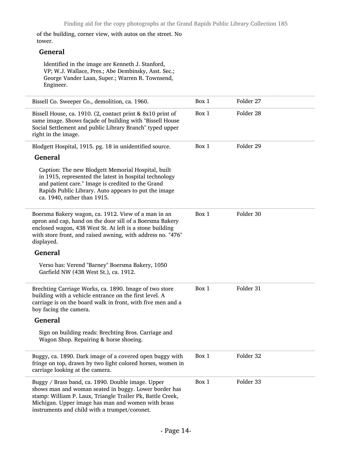of the building, corner view, with autos on the street. No tower.

#### General

 $\overline{a}$ 

Identified in the image are Kenneth J. Stanford, VP; W.J. Wallace, Pres.; Abe Dembinsky, Asst. Sec.; George Vander Laan, Super.; Warren R. Townsend, Engineer.

| Bissell Co. Sweeper Co., demolition, ca. 1960.                                                                                                                                                                                                                                  | Box 1 | Folder 27 |
|---------------------------------------------------------------------------------------------------------------------------------------------------------------------------------------------------------------------------------------------------------------------------------|-------|-----------|
| Bissell House, ca. 1910. (2, contact print & 8x10 print of<br>same image. Shows façade of building with "Bissell House<br>Social Settlement and public Library Branch" typed upper<br>right in the image.                                                                       | Box 1 | Folder 28 |
| Blodgett Hospital, 1915. pg. 18 in unidentified source.                                                                                                                                                                                                                         | Box 1 | Folder 29 |
| <b>General</b>                                                                                                                                                                                                                                                                  |       |           |
| Caption: The new Blodgett Memorial Hospital, built<br>in 1915, represented the latest in hospital technology<br>and patient care." Image is credited to the Grand<br>Rapids Public Library. Auto appears to put the image<br>ca. 1940, rather than 1915.                        |       |           |
| Boersma Bakery wagon, ca. 1912. View of a man in an<br>apron and cap, hand on the door sill of a Boersma Bakery<br>enclosed wagon, 438 West St. At left is a stone building<br>with store front, and raised awning, with address no. "476"<br>displayed.                        | Box 1 | Folder 30 |
| <b>General</b>                                                                                                                                                                                                                                                                  |       |           |
| Verso has: Verend "Barney" Boersma Bakery, 1050<br>Garfield NW (438 West St.), ca. 1912.                                                                                                                                                                                        |       |           |
| Brechting Carriage Works, ca. 1890. Image of two store<br>building with a vehicle entrance on the first level. A<br>carriage is on the board walk in front, with five men and a<br>boy facing the camera.                                                                       | Box 1 | Folder 31 |
| <b>General</b>                                                                                                                                                                                                                                                                  |       |           |
| Sign on building reads: Brechting Bros. Carriage and<br>Wagon Shop. Repairing & horse shoeing.                                                                                                                                                                                  |       |           |
| Buggy, ca. 1890. Dark image of a covered open buggy with<br>fringe on top, drawn by two light colored horses, women in<br>carriage looking at the camera.                                                                                                                       | Box 1 | Folder 32 |
| Buggy / Brass band, ca. 1890. Double image. Upper<br>shows man and woman seated in buggy. Lower border has<br>stamp: William P. Laux, Triangle Trailer Pk, Battle Creek,<br>Michigan. Upper image has man and women with brass<br>instruments and child with a trumpet/coronet. | Box 1 | Folder 33 |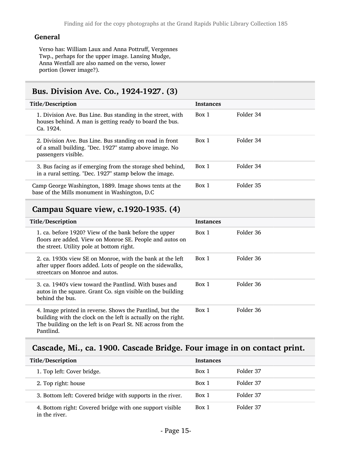#### General

Verso has: William Laux and Anna Pottruff, Vergennes Twp., perhaps for the upper image. Lansing Mudge, Anna Westfall are also named on the verso, lower portion (lower image?).

#### <span id="page-14-0"></span>Bus. Division Ave. Co., 1924-1927. (3)

| Title/Description                                                                                                                         | <b>Instances</b> |           |
|-------------------------------------------------------------------------------------------------------------------------------------------|------------------|-----------|
| 1. Division Ave. Bus Line. Bus standing in the street, with<br>houses behind. A man is getting ready to board the bus.<br>Ca. 1924.       | Box 1            | Folder 34 |
| 2. Division Ave. Bus Line. Bus standing on road in front<br>of a small building. "Dec. 1927" stamp above image. No<br>passengers visible. | Box 1            | Folder 34 |
| 3. Bus facing as if emerging from the storage shed behind,<br>in a rural setting. "Dec. 1927" stamp below the image.                      | Box 1            | Folder 34 |
| Camp George Washington, 1889. Image shows tents at the<br>base of the Mills monument in Washington, D.C.                                  | Box 1            | Folder 35 |

### <span id="page-14-1"></span>Campau Square view, c.1920-1935. (4)

| Title/Description                                                                                                                                                                                     | <b>Instances</b> |           |
|-------------------------------------------------------------------------------------------------------------------------------------------------------------------------------------------------------|------------------|-----------|
| 1. ca. before 1920? View of the bank before the upper<br>floors are added. View on Monroe SE. People and autos on<br>the street. Utility pole at bottom right.                                        | Box 1            | Folder 36 |
| 2. ca. 1930s view SE on Monroe, with the bank at the left<br>after upper floors added. Lots of people on the sidewalks,<br>streetcars on Monroe and autos.                                            | Box 1            | Folder 36 |
| 3. ca. 1940's view toward the Pantlind. With buses and<br>autos in the square. Grant Co. sign visible on the building<br>behind the bus.                                                              | Box 1            | Folder 36 |
| 4. Image printed in reverse. Shows the Pantlind, but the<br>building with the clock on the left is actually on the right.<br>The building on the left is on Pearl St. NE across from the<br>Pantlind. | Box 1            | Folder 36 |

#### <span id="page-14-2"></span>Cascade, Mi., ca. 1900. Cascade Bridge. Four image in on contact print.

| Title/Description                                                         | <b>Instances</b> |           |
|---------------------------------------------------------------------------|------------------|-----------|
| 1. Top left: Cover bridge.                                                | Box 1            | Folder 37 |
| 2. Top right: house                                                       | Box 1            | Folder 37 |
| 3. Bottom left: Covered bridge with supports in the river.                | Box 1            | Folder 37 |
| 4. Bottom right: Covered bridge with one support visible<br>in the river. | Box 1            | Folder 37 |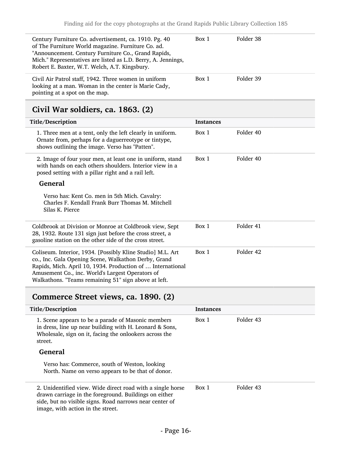| Century Furniture Co. advertisement, ca. 1910. Pg. 40<br>of The Furniture World magazine. Furniture Co. ad.<br>"Announcement. Century Furniture Co., Grand Rapids,<br>Mich." Representatives are listed as L.D. Berry, A. Jennings,<br>Robert E. Baxter, W.T. Welch, A.T. Kingsbury. | Box 1 | Folder 38 |
|--------------------------------------------------------------------------------------------------------------------------------------------------------------------------------------------------------------------------------------------------------------------------------------|-------|-----------|
| Civil Air Patrol staff, 1942. Three women in uniform<br>looking at a man. Woman in the center is Marie Cady,<br>pointing at a spot on the map.                                                                                                                                       | Box 1 | Folder 39 |

# <span id="page-15-0"></span>Civil War soldiers, ca. 1863. (2)

| Title/Description                                                                                                                                                                                                                                                                            | <b>Instances</b> |           |
|----------------------------------------------------------------------------------------------------------------------------------------------------------------------------------------------------------------------------------------------------------------------------------------------|------------------|-----------|
| 1. Three men at a tent, only the left clearly in uniform.<br>Ornate from, perhaps for a daguerreotype or tintype,<br>shows outlining the image. Verso has "Patten".                                                                                                                          | Box 1            | Folder 40 |
| 2. Image of four your men, at least one in uniform, stand<br>with hands on each others shoulders. Interior view in a<br>posed setting with a pillar right and a rail left.                                                                                                                   | Box 1            | Folder 40 |
| <b>General</b>                                                                                                                                                                                                                                                                               |                  |           |
| Verso has: Kent Co. men in 5th Mich. Cavalry:<br>Charles F. Kendall Frank Burr Thomas M. Mitchell<br>Silas K. Pierce                                                                                                                                                                         |                  |           |
| Coldbrook at Division or Monroe at Coldbrook view, Sept<br>28, 1932. Route 131 sign just before the cross street, a<br>gasoline station on the other side of the cross street.                                                                                                               | Box 1            | Folder 41 |
| Coliseum. Interior, 1934. [Possibly Kline Studio] M.L. Art<br>co., Inc. Gala Opening Scene, Walkathon Derby, Grand<br>Rapids, Mich. April 10, 1934. Production of  International<br>Amusement Co., inc. World's Largest Operators of<br>Walkathons. "Teams remaining 51" sign above at left. | Box 1            | Folder 42 |

# <span id="page-15-1"></span>Commerce Street views, ca. 1890. (2)

| Title/Description                                                                                                                                                                                                   | <b>Instances</b> |           |
|---------------------------------------------------------------------------------------------------------------------------------------------------------------------------------------------------------------------|------------------|-----------|
| 1. Scene appears to be a parade of Masonic members<br>in dress, line up near building with H. Leonard & Sons,<br>Wholesale, sign on it, facing the onlookers across the<br>street.                                  | Box 1            | Folder 43 |
| General                                                                                                                                                                                                             |                  |           |
| Verso has: Commerce, south of Weston, looking<br>North. Name on verso appears to be that of donor.                                                                                                                  |                  |           |
| 2. Unidentified view. Wide direct road with a single horse<br>drawn carriage in the foreground. Buildings on either<br>side, but no visible signs. Road narrows near center of<br>image, with action in the street. | Box 1            | Folder 43 |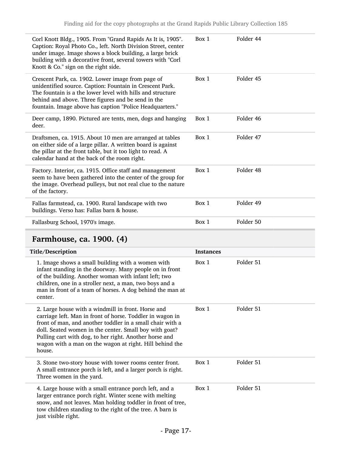| Corl Knott Bldg., 1905. From "Grand Rapids As It is, 1905".<br>Caption: Royal Photo Co., left. North Division Street, center<br>under image. Image shows a block building, a large brick<br>building with a decorative front, several towers with "Corl<br>Knott & Co." sign on the right side. | Box 1 | Folder 44 |
|-------------------------------------------------------------------------------------------------------------------------------------------------------------------------------------------------------------------------------------------------------------------------------------------------|-------|-----------|
| Crescent Park, ca. 1902. Lower image from page of<br>unidentified source. Caption: Fountain in Crescent Park.<br>The fountain is a the lower level with hills and structure<br>behind and above. Three figures and be send in the<br>fountain. Image above has caption "Police Headquarters."   | Box 1 | Folder 45 |
| Deer camp, 1890. Pictured are tents, men, dogs and hanging<br>deer.                                                                                                                                                                                                                             | Box 1 | Folder 46 |
| Draftsmen, ca. 1915. About 10 men are arranged at tables<br>on either side of a large pillar. A written board is against<br>the pillar at the front table, but it too light to read. A<br>calendar hand at the back of the room right.                                                          | Box 1 | Folder 47 |
| Factory. Interior, ca. 1915. Office staff and management<br>seem to have been gathered into the center of the group for<br>the image. Overhead pulleys, but not real clue to the nature<br>of the factory.                                                                                      | Box 1 | Folder 48 |
| Fallas farmstead, ca. 1900. Rural landscape with two<br>buildings. Verso has: Fallas barn & house.                                                                                                                                                                                              | Box 1 | Folder 49 |
| Fallasburg School, 1970's image.                                                                                                                                                                                                                                                                | Box 1 | Folder 50 |

# <span id="page-16-0"></span>Farmhouse, ca. 1900. (4)

| Title/Description                                                                                                                                                                                                                                                                                                                                                     | <b>Instances</b> |           |
|-----------------------------------------------------------------------------------------------------------------------------------------------------------------------------------------------------------------------------------------------------------------------------------------------------------------------------------------------------------------------|------------------|-----------|
| 1. Image shows a small building with a women with<br>infant standing in the doorway. Many people on in front<br>of the building. Another woman with infant left; two<br>children, one in a stroller next, a man, two boys and a<br>man in front of a team of horses. A dog behind the man at<br>center.                                                               | Box 1            | Folder 51 |
| 2. Large house with a windmill in front. Horse and<br>carriage left. Man in front of horse. Toddler in wagon in<br>front of man, and another toddler in a small chair with a<br>doll. Seated women in the center. Small boy with goat?<br>Pulling cart with dog, to her right. Another horse and<br>wagon with a man on the wagon at right. Hill behind the<br>house. | Box 1            | Folder 51 |
| 3. Stone two-story house with tower rooms center front.<br>A small entrance porch is left, and a larger porch is right.<br>Three women in the yard.                                                                                                                                                                                                                   | Box 1            | Folder 51 |
| 4. Large house with a small entrance porch left, and a<br>larger entrance porch right. Winter scene with melting<br>snow, and not leaves. Man holding toddler in front of tree,<br>tow children standing to the right of the tree. A barn is<br>just visible right.                                                                                                   | Box 1            | Folder 51 |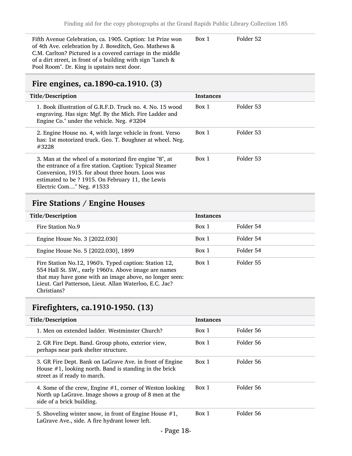Fifth Avenue Celebration, ca. 1905. Caption: 1st Prize won of 4th Ave. celebration by J. Bowditch, Geo. Mathews & C.M. Carlton? Pictured is a covered carriage in the middle of a dirt street, in front of a building with sign "Lunch & Pool Room". Dr. King is upstairs next door. Box 1 Folder 52

#### <span id="page-17-0"></span>Fire engines, ca.1890-ca.1910. (3)

| Title/Description                                                                                                                                                                                                                                           | <b>Instances</b> |           |
|-------------------------------------------------------------------------------------------------------------------------------------------------------------------------------------------------------------------------------------------------------------|------------------|-----------|
| 1. Book illustration of G.R.F.D. Truck no. 4. No. 15 wood<br>engraving. Has sign: Mgf. By the Mich. Fire Ladder and<br>Engine Co." under the vehicle. Neg. #3204                                                                                            | Box 1            | Folder 53 |
| 2. Engine House no. 4, with large vehicle in front. Verso<br>has: 1st motorized truck. Geo. T. Boughner at wheel. Neg.<br>#3228                                                                                                                             | Box 1            | Folder 53 |
| 3. Man at the wheel of a motorized fire engine "8", at<br>the entrance of a fire station. Caption: Typical Steamer<br>Conversion, 1915. for about three hours. Loos was<br>estimated to be ? 1915. On February 11, the Lewis<br>Electric Com" Neg. $\#1533$ | Box 1            | Folder 53 |

### <span id="page-17-1"></span>Fire Stations / Engine Houses

| Title/Description                                                                                                                                                                                                                                    | <b>Instances</b> |           |
|------------------------------------------------------------------------------------------------------------------------------------------------------------------------------------------------------------------------------------------------------|------------------|-----------|
|                                                                                                                                                                                                                                                      |                  |           |
| Fire Station No.9                                                                                                                                                                                                                                    | Box 1            | Folder 54 |
| Engine House No. 3 [2022.030]                                                                                                                                                                                                                        | Box 1            | Folder 54 |
| Engine House No. 5 [2022.030], 1899                                                                                                                                                                                                                  | Box 1            | Folder 54 |
| Fire Station No.12, 1960's. Typed caption: Station 12,<br>554 Hall St. SW., early 1960's. Above image are names<br>that may have gone with an image above, no longer seen:<br>Lieut. Carl Patterson, Lieut. Allan Waterloo, E.C. Jac?<br>Christians? | Box 1            | Folder 55 |

#### <span id="page-17-2"></span>Firefighters, ca.1910-1950. (13)

| Title/Description                                                                                                                                     | <b>Instances</b> |           |
|-------------------------------------------------------------------------------------------------------------------------------------------------------|------------------|-----------|
| 1. Men on extended ladder. Westminster Church?                                                                                                        | Box 1            | Folder 56 |
| 2. GR Fire Dept. Band. Group photo, exterior view,<br>perhaps near park shelter structure.                                                            | Box 1            | Folder 56 |
| 3. GR Fire Dept. Bank on LaGrave Ave. in front of Engine<br>House $#1$ , looking north. Band is standing in the brick<br>street as if ready to march. | Box 1            | Folder 56 |
| 4. Some of the crew, Engine $#1$ , corner of Weston looking<br>North up LaGrave. Image shows a group of 8 men at the<br>side of a brick building.     | Box 1            | Folder 56 |
| 5. Shoveling winter snow, in front of Engine House $#1$ ,<br>LaGrave Ave., side. A fire hydrant lower left.                                           | Box 1            | Folder 56 |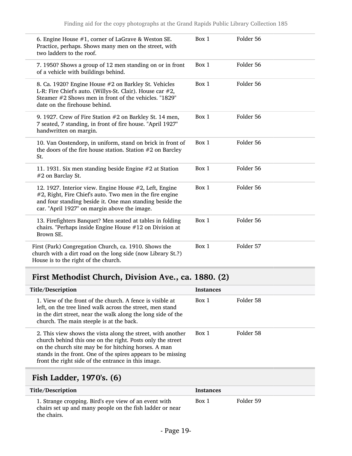| 6. Engine House $#1$ , corner of LaGrave & Weston SE.<br>Practice, perhaps. Shows many men on the street, with<br>two ladders to the roof.                                                                                     | Box 1 | Folder 56 |
|--------------------------------------------------------------------------------------------------------------------------------------------------------------------------------------------------------------------------------|-------|-----------|
| 7. 1950? Shows a group of 12 men standing on or in front<br>of a vehicle with buildings behind.                                                                                                                                | Box 1 | Folder 56 |
| 8. Ca. 1920? Engine House #2 on Barkley St. Vehicles<br>L-R: Fire Chief's auto. (Willys-St. Clair). House car #2,<br>Steamer #2 Shows men in front of the vehicles. "1829"<br>date on the firehouse behind.                    | Box 1 | Folder 56 |
| 9. 1927. Crew of Fire Station #2 on Barkley St. 14 men,<br>7 seated, 7 standing, in front of fire house. "April 1927"<br>handwritten on margin.                                                                                | Box 1 | Folder 56 |
| 10. Van Oostendorp, in uniform, stand on brick in front of<br>the doors of the fire house station. Station $#2$ on Barcley<br>St.                                                                                              | Box 1 | Folder 56 |
| 11. 1931. Six men standing beside Engine #2 at Station<br>#2 on Barclay St.                                                                                                                                                    | Box 1 | Folder 56 |
| 12. 1927. Interior view. Engine House #2, Left, Engine<br>#2, Right, Fire Chief's auto. Two men in the fire engine<br>and four standing beside it. One man standing beside the<br>car. "April 1927" on margin above the image. | Box 1 | Folder 56 |
| 13. Firefighters Banquet? Men seated at tables in folding<br>chairs. "Perhaps inside Engine House #12 on Division at<br>Brown SE.                                                                                              | Box 1 | Folder 56 |
| First (Park) Congregation Church, ca. 1910. Shows the<br>church with a dirt road on the long side (now Library St.?)<br>House is to the right of the church.                                                                   | Box 1 | Folder 57 |

# <span id="page-18-0"></span>First Methodist Church, Division Ave., ca. 1880. (2)

| Title/Description                                                                                                                                                                                                                                                                                        | <b>Instances</b> |           |
|----------------------------------------------------------------------------------------------------------------------------------------------------------------------------------------------------------------------------------------------------------------------------------------------------------|------------------|-----------|
| 1. View of the front of the church. A fence is visible at<br>left, on the tree lined walk across the street, men stand<br>in the dirt street, near the walk along the long side of the<br>church. The main steeple is at the back.                                                                       | Box 1            | Folder 58 |
| 2. This view shows the vista along the street, with another<br>church behind this one on the right. Posts only the street<br>on the church site may be for hitching horses. A man<br>stands in the front. One of the spires appears to be missing<br>front the right side of the entrance in this image. | Box 1            | Folder 58 |
|                                                                                                                                                                                                                                                                                                          |                  |           |

# <span id="page-18-1"></span>Fish Ladder, 1970's. (6)

| Title/Description                                                                                                                | <b>Instances</b> |           |
|----------------------------------------------------------------------------------------------------------------------------------|------------------|-----------|
| 1. Strange cropping. Bird's eye view of an event with<br>chairs set up and many people on the fish ladder or near<br>the chairs. | Box 1            | Folder 59 |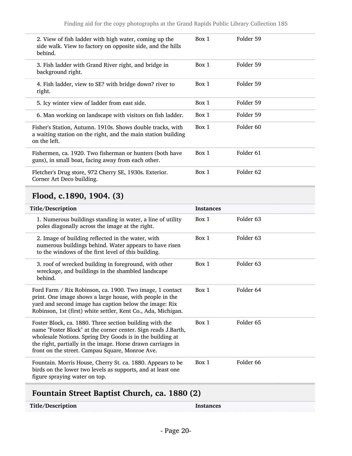| 2. View of fish ladder with high water, coming up the<br>side walk. View to factory on opposite side, and the hills<br>behind.              | Box 1 | Folder 59            |
|---------------------------------------------------------------------------------------------------------------------------------------------|-------|----------------------|
| 3. Fish ladder with Grand River right, and bridge in<br>background right.                                                                   | Box 1 | Folder 59            |
| 4. Fish ladder, view to SE? with bridge down? river to<br>right.                                                                            | Box 1 | Folder 59            |
| 5. Icy winter view of ladder from east side.                                                                                                | Box 1 | Folder 59            |
| 6. Man working on landscape with visitors on fish ladder.                                                                                   | Box 1 | Folder 59            |
| Fisher's Station, Autumn. 1910s. Shows double tracks, with<br>a waiting station on the right, and the main station building<br>on the left. | Box 1 | Folder <sub>60</sub> |
| Fishermen, ca. 1920. Two fisherman or hunters (both have<br>guns), in small boat, facing away from each other.                              | Box 1 | Folder <sub>61</sub> |
| Fletcher's Drug store, 972 Cherry SE, 1930s. Exterior.<br>Corner Art Deco building.                                                         | Box 1 | Folder <sub>62</sub> |

# <span id="page-19-0"></span>Flood, c.1890, 1904. (3)

| Title/Description                                                                                                                                                                                                                                                                                       | <b>Instances</b> |                      |
|---------------------------------------------------------------------------------------------------------------------------------------------------------------------------------------------------------------------------------------------------------------------------------------------------------|------------------|----------------------|
| 1. Numerous buildings standing in water, a line of utility<br>poles diagonally across the image at the right.                                                                                                                                                                                           | Box 1            | Folder 63            |
| 2. Image of building reflected in the water, with<br>numerous buildings behind. Water appears to have risen<br>to the windows of the first level of this building.                                                                                                                                      | Box 1            | Folder 63            |
| 3. roof of wrecked building in foreground, with other<br>wreckage, and buildings in the shambled landscape<br>behind.                                                                                                                                                                                   | Box 1            | Folder <sub>63</sub> |
| Ford Farm / Rix Robinson, ca. 1900. Two image, 1 contact<br>print. One image shows a large house, with people in the<br>yard and second image has caption below the image: Rix<br>Robinson, 1st (first) white settler, Kent Co., Ada, Michigan.                                                         | Box 1            | Folder 64            |
| Foster Block, ca. 1880. Three section building with the<br>name "Foster Block" at the corner center. Sign reads J.Barth,<br>wholesale Notions. Spring Dry Goods is in the building at<br>the right, partially in the image. Horse drawn carriages in<br>front on the street. Campau Square, Monroe Ave. | Box 1            | Folder 65            |
| Fountain. Morris House, Cherry St. ca. 1880. Appears to be<br>birds on the lower two levels as supports, and at least one<br>figure spraying water on top.                                                                                                                                              | Box 1            | Folder 66            |
|                                                                                                                                                                                                                                                                                                         |                  |                      |

# <span id="page-19-1"></span>Fountain Street Baptist Church, ca. 1880 (2)

Title/Description Instances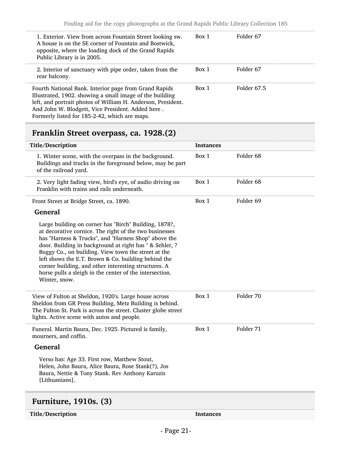| 1. Exterior. View from across Fountain Street looking sw.<br>A house is on the SE corner of Fountain and Bostwick,<br>opposite, where the loading dock of the Grand Rapids<br>Public Library is in 2005.                                                                                | Box 1 | Folder 67   |
|-----------------------------------------------------------------------------------------------------------------------------------------------------------------------------------------------------------------------------------------------------------------------------------------|-------|-------------|
| 2. Interior of sanctuary with pipe order, taken from the<br>rear balcony.                                                                                                                                                                                                               | Box 1 | Folder 67   |
| Fourth National Bank. Interior page from Grand Rapids<br>Illustrated, 1902. showing a small image of the building<br>left, and portrait photos of William H. Anderson, President.<br>And John W. Blodgett, Vice President. Added here.<br>Formerly listed for 185-2-42, which are maps. | Box 1 | Folder 67.5 |

# <span id="page-20-0"></span>Franklin Street overpass, ca. 1928.(2)

| Title/Description                                                                                                                                                                                                                                                                                                                                                                                                                                                                    | <b>Instances</b> |                      |
|--------------------------------------------------------------------------------------------------------------------------------------------------------------------------------------------------------------------------------------------------------------------------------------------------------------------------------------------------------------------------------------------------------------------------------------------------------------------------------------|------------------|----------------------|
| 1. Winter scene, with the overpass in the background.<br>Buildings and trucks in the foreground below, may be part<br>of the railroad yard.                                                                                                                                                                                                                                                                                                                                          | Box 1            | Folder 68            |
| 2. Very light fading view, bird's eye, of audio driving on<br>Franklin with trains and rails underneath.                                                                                                                                                                                                                                                                                                                                                                             | Box 1            | Folder <sub>68</sub> |
| Front Street at Bridge Street, ca. 1890.                                                                                                                                                                                                                                                                                                                                                                                                                                             | Box 1            | Folder 69            |
| <b>General</b>                                                                                                                                                                                                                                                                                                                                                                                                                                                                       |                  |                      |
| Large building on corner has "Birch" Building, 1878?,<br>at decorative cornice. The right of the two businesses<br>has "Harness & Trucks", and "Harness Shop" above the<br>door. Building in background at right has " & Sehler, ?<br>Buggy Co., on building. View town the street at the<br>left shows the E.T. Brown & Co. building behind the<br>corner building, and other interesting structures. A<br>horse pulls a sleigh in the center of the intersection.<br>Winter, snow. |                  |                      |
| View of Fulton at Sheldon, 1920's. Large house across<br>Sheldon from GR Press Building, Metz Building is behind.<br>The Fulton St. Park is across the street. Cluster globe street<br>lights. Active scene with autos and people.                                                                                                                                                                                                                                                   | Box 1            | Folder 70            |
| Funeral. Martin Baura, Dec. 1925. Pictured is family,<br>mourners, and coffin.                                                                                                                                                                                                                                                                                                                                                                                                       | Box 1            | Folder 71            |
| <b>General</b>                                                                                                                                                                                                                                                                                                                                                                                                                                                                       |                  |                      |
| Verso has: Age 33. First row, Matthew Stout,<br>Helen, John Baura, Alice Baura, Rose Stank(?), Jos<br>Baura, Nettie & Tony Stank. Rev Anthony Karuzis<br>[Lithuanians].                                                                                                                                                                                                                                                                                                              |                  |                      |
|                                                                                                                                                                                                                                                                                                                                                                                                                                                                                      |                  |                      |

# <span id="page-20-1"></span>Furniture, 1910s. (3)

Title/Description Instances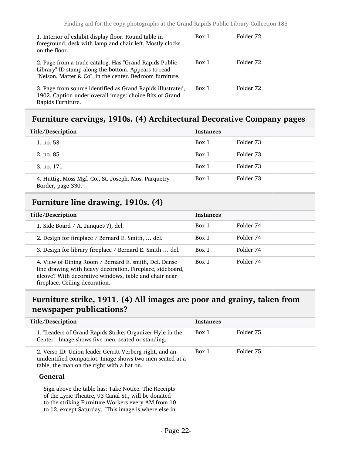| 1. Interior of exhibit display floor. Round table in<br>foreground, desk with lamp and chair left. Mostly clocks<br>on the floor.                                         | Box 1 | Folder 72 |  |
|---------------------------------------------------------------------------------------------------------------------------------------------------------------------------|-------|-----------|--|
| 2. Page from a trade catalog. Has "Grand Rapids Public<br>Library" ID stamp along the bottom. Appears to read<br>"Nelson, Matter & Co", in the center. Bedroom furniture. | Box 1 | Folder 72 |  |
| 3. Page from source identified as Grand Rapids illustrated,<br>1902. Caption under overall image: choice Bits of Grand<br>Rapids Furniture.                               | Box 1 | Folder 72 |  |

### <span id="page-21-0"></span>Furniture carvings, 1910s. (4) Architectural Decorative Company pages

| Title/Description                                                         | <b>Instances</b> |           |
|---------------------------------------------------------------------------|------------------|-----------|
| 1. no. $53$                                                               | Box 1            | Folder 73 |
| 2. no. 85                                                                 | Box 1            | Folder 73 |
| 3. no. 171                                                                | Box 1            | Folder 73 |
| 4. Huttig, Moss Mgf. Co., St. Joseph. Mos. Parquetry<br>Border, page 330. | Box 1            | Folder 73 |

# <span id="page-21-1"></span>Furniture line drawing, 1910s. (4)

| Title/Description                                                                                                                                                                                             | <b>Instances</b> |           |
|---------------------------------------------------------------------------------------------------------------------------------------------------------------------------------------------------------------|------------------|-----------|
| 1. Side Board $/$ A. Janquet(?), del.                                                                                                                                                                         | Box 1            | Folder 74 |
| 2. Design for fireplace / Bernard E. Smith,  del.                                                                                                                                                             | Box 1            | Folder 74 |
| 3. Design for library fireplace / Bernard E. Smith  del.                                                                                                                                                      | Box 1            | Folder 74 |
| 4. View of Dining Room / Bernard E. smith, Del. Dense<br>line drawing with heavy decoration. Fireplace, sideboard,<br>alcove? With decorative windows, table and chair near<br>fireplace. Ceiling decoration. | Box 1            | Folder 74 |

### <span id="page-21-2"></span>Furniture strike, 1911. (4) All images are poor and grainy, taken from newspaper publications?

| Title/Description                                                                                                                                                 | <b>Instances</b> |           |
|-------------------------------------------------------------------------------------------------------------------------------------------------------------------|------------------|-----------|
| 1. "Leaders of Grand Rapids Strike, Organizer Hyle in the<br>Center". Image shows five men, seated or standing.                                                   | Box 1            | Folder 75 |
| 2. Verso ID: Union leader Gerritt Verberg right, and an<br>unidentified compatriot. Image shows two men seated at a<br>table, the man on the right with a hat on. | Box 1            | Folder 75 |

#### General

Sign above the table has: Take Notice. The Receipts of the Lyric Theatre, 93 Canal St., will be donated to the striking Furniture Workers every AM from 10 to 12, except Saturday. [This image is where else in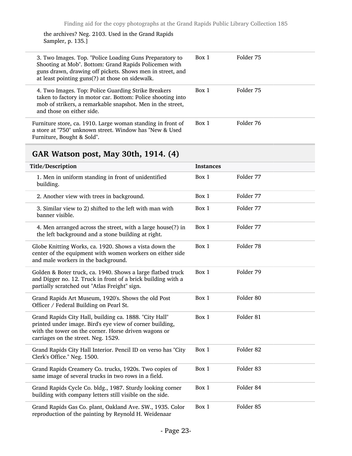the archives? Neg. 2103. Used in the Grand Rapids Sampler, p. 135.]

| 3. Two Images. Top. "Police Loading Guns Preparatory to<br>Shooting at Mob". Bottom: Grand Rapids Policemen with<br>guns drawn, drawing off pickets. Shows men in street, and<br>at least pointing guns(?) at those on sidewalk. | Box 1 | Folder 75 |
|----------------------------------------------------------------------------------------------------------------------------------------------------------------------------------------------------------------------------------|-------|-----------|
| 4. Two Images. Top: Police Guarding Strike Breakers<br>taken to factory in motor car. Bottom: Police shooting into<br>mob of strikers, a remarkable snapshot. Men in the street,<br>and those on either side.                    | Box 1 | Folder 75 |
| Furniture store, ca. 1910. Large woman standing in front of<br>a store at "750" unknown street. Window has "New & Used<br>Furniture, Bought & Sold".                                                                             | Box 1 | Folder 76 |

# <span id="page-22-0"></span>GAR Watson post, May 30th, 1914. (4)

| Title/Description                                                                                                                                                                                                 | <b>Instances</b> |                      |
|-------------------------------------------------------------------------------------------------------------------------------------------------------------------------------------------------------------------|------------------|----------------------|
| 1. Men in uniform standing in front of unidentified<br>building.                                                                                                                                                  | Box 1            | Folder 77            |
| 2. Another view with trees in background.                                                                                                                                                                         | Box 1            | Folder 77            |
| 3. Similar view to 2) shifted to the left with man with<br>banner visible.                                                                                                                                        | Box 1            | Folder 77            |
| 4. Men arranged across the street, with a large house(?) in<br>the left background and a stone building at right.                                                                                                 | Box 1            | Folder 77            |
| Globe Knitting Works, ca. 1920. Shows a vista down the<br>center of the equipment with women workers on either side<br>and male workers in the background.                                                        | Box 1            | Folder 78            |
| Golden & Boter truck, ca. 1940. Shows a large flatbed truck<br>and Digger no. 12. Truck in front of a brick building with a<br>partially scratched out "Atlas Freight" sign.                                      | Box 1            | Folder 79            |
| Grand Rapids Art Museum, 1920's. Shows the old Post<br>Officer / Federal Building on Pearl St.                                                                                                                    | Box 1            | Folder <sub>80</sub> |
| Grand Rapids City Hall, building ca. 1888. "City Hall"<br>printed under image. Bird's eye view of corner building,<br>with the tower on the corner. Horse driven wagons or<br>carriages on the street. Neg. 1529. | Box 1            | Folder 81            |
| Grand Rapids City Hall Interior. Pencil ID on verso has "City<br>Clerk's Office." Neg. 1500.                                                                                                                      | Box 1            | Folder <sub>82</sub> |
| Grand Rapids Creamery Co. trucks, 1920s. Two copies of<br>same image of several trucks in two rows in a field.                                                                                                    | Box 1            | Folder <sub>83</sub> |
| Grand Rapids Cycle Co. bldg., 1987. Sturdy looking corner<br>building with company letters still visible on the side.                                                                                             | Box 1            | Folder 84            |
| Grand Rapids Gas Co. plant, Oakland Ave. SW., 1935. Color<br>reproduction of the painting by Reynold H. Weidenaar                                                                                                 | Box 1            | Folder 85            |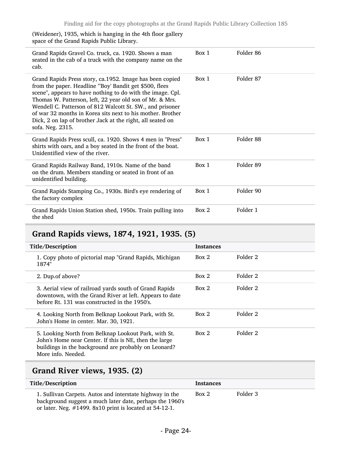(Weidener), 1935, which is hanging in the 4th floor gallery space of the Grand Rapids Public Library.

| Grand Rapids Gravel Co. truck, ca. 1920. Shows a man<br>seated in the cab of a truck with the company name on the<br>cab.                                                                                                                                                                                                                                                                                                                                 | Box 1 | Folder 86 |
|-----------------------------------------------------------------------------------------------------------------------------------------------------------------------------------------------------------------------------------------------------------------------------------------------------------------------------------------------------------------------------------------------------------------------------------------------------------|-------|-----------|
| Grand Rapids Press story, ca.1952. Image has been copied<br>from the paper. Headline "Boy' Bandit get \$500, flees<br>scene", appears to have nothing to do with the image. Cpl.<br>Thomas W. Patterson, left, 22 year old son of Mr. & Mrs.<br>Wendell C. Patterson of 812 Walcott St. SW., and prisoner<br>of war 32 months in Korea sits next to his mother. Brother<br>Dick, 2 on lap of brother Jack at the right, all seated on<br>sofa. Neg. 2315. | Box 1 | Folder 87 |
| Grand Rapids Press scull, ca. 1920. Shows 4 men in "Press"<br>shirts with oars, and a boy seated in the front of the boat.<br>Unidentified view of the river.                                                                                                                                                                                                                                                                                             | Box 1 | Folder 88 |
| Grand Rapids Railway Band, 1910s. Name of the band<br>on the drum. Members standing or seated in front of an<br>unidentified building.                                                                                                                                                                                                                                                                                                                    | Box 1 | Folder 89 |
| Grand Rapids Stamping Co., 1930s. Bird's eye rendering of<br>the factory complex                                                                                                                                                                                                                                                                                                                                                                          | Box 1 | Folder 90 |
| Grand Rapids Union Station shed, 1950s. Train pulling into<br>the shed                                                                                                                                                                                                                                                                                                                                                                                    | Box 2 | Folder 1  |

# <span id="page-23-0"></span>Grand Rapids views, 1874, 1921, 1935. (5)

| Title/Description                                                                                                                                                                            | <b>Instances</b> |          |
|----------------------------------------------------------------------------------------------------------------------------------------------------------------------------------------------|------------------|----------|
| 1. Copy photo of pictorial map "Grand Rapids, Michigan<br>1874"                                                                                                                              | Box 2            | Folder 2 |
| 2. Dup.of above?                                                                                                                                                                             | Box 2            | Folder 2 |
| 3. Aerial view of railroad yards south of Grand Rapids<br>downtown, with the Grand River at left. Appears to date<br>before Rt. 131 was constructed in the 1950's.                           | Box 2            | Folder 2 |
| 4. Looking North from Belknap Lookout Park, with St.<br>John's Home in center. Mar. 30, 1921.                                                                                                | Box 2            | Folder 2 |
| 5. Looking North from Belknap Lookout Park, with St.<br>John's Home near Center. If this is NE, then the large<br>buildings in the background are probably on Leonard?<br>More info. Needed. | Box 2            | Folder 2 |

# <span id="page-23-1"></span>Grand River views, 1935. (2)

| Title/Description                                                                                                                                                                   | Instances |          |
|-------------------------------------------------------------------------------------------------------------------------------------------------------------------------------------|-----------|----------|
| 1. Sullivan Carpets. Autos and interstate highway in the<br>background suggest a much later date, perhaps the 1960's<br>or later. Neg. $\#1499$ . 8x10 print is located at 54-12-1. | Box 2     | Folder 3 |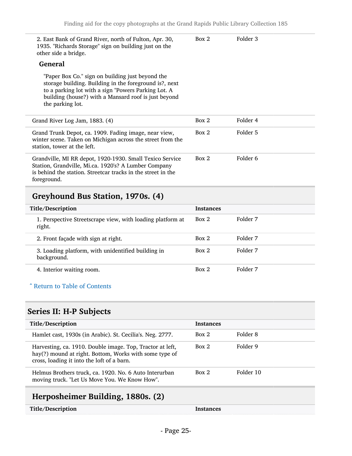| 2. East Bank of Grand River, north of Fulton, Apr. 30,<br>1935. "Richards Storage" sign on building just on the<br>other side a bridge.                                                                                                       | Box 2 | Folder 3 |
|-----------------------------------------------------------------------------------------------------------------------------------------------------------------------------------------------------------------------------------------------|-------|----------|
| <b>General</b>                                                                                                                                                                                                                                |       |          |
| "Paper Box Co." sign on building just beyond the<br>storage building. Building in the foreground is?, next<br>to a parking lot with a sign "Powers Parking Lot. A<br>building (house?) with a Mansard roof is just beyond<br>the parking lot. |       |          |
| Grand River Log Jam, 1883. (4)                                                                                                                                                                                                                | Box 2 | Folder 4 |
| Grand Trunk Depot, ca. 1909. Fading image, near view,<br>winter scene. Taken on Michigan across the street from the<br>station, tower at the left.                                                                                            | Box 2 | Folder 5 |
| Grandville, MI RR depot, 1920-1930. Small Texico Service<br>Station, Grandville, Mi.ca. 1920's? A Lumber Company<br>is behind the station. Streetcar tracks in the street in the<br>foreground.                                               | Box 2 | Folder 6 |
|                                                                                                                                                                                                                                               |       |          |

# <span id="page-24-0"></span>Greyhound Bus Station, 1970s. (4)

| Title/Description                                                    | <b>Instances</b> |          |
|----------------------------------------------------------------------|------------------|----------|
| 1. Perspective Streetscrape view, with loading platform at<br>right. | Box 2            | Folder 7 |
| 2. Front façade with sign at right.                                  | Box 2            | Folder 7 |
| 3. Loading platform, with unidentified building in<br>background.    | Box 2            | Folder 7 |
| 4. Interior waiting room.                                            | Box 2            | Folder 7 |

#### ^ [Return to Table of Contents](#page-1-0)

# <span id="page-24-1"></span>Series II: H-P Subjects

| Title/Description                                                                                                                                                 | <b>Instances</b> |           |
|-------------------------------------------------------------------------------------------------------------------------------------------------------------------|------------------|-----------|
| Hamlet cast, 1930s (in Arabic). St. Cecilia's. Neg. 2777.                                                                                                         | Box 2            | Folder 8  |
| Harvesting, ca. 1910. Double image. Top, Tractor at left,<br>hay(?) mound at right. Bottom, Works with some type of<br>cross, loading it into the loft of a barn. | Box 2            | Folder 9  |
| Helmus Brothers truck, ca. 1920. No. 6 Auto Interurban<br>moving truck. "Let Us Move You. We Know How".                                                           | Box 2            | Folder 10 |

# <span id="page-24-2"></span>Herposheimer Building, 1880s. (2)

| Title/Description | Instances |
|-------------------|-----------|
|-------------------|-----------|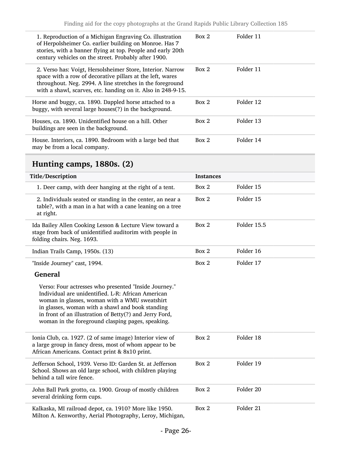| 1. Reproduction of a Michigan Engraving Co. illustration<br>of Herpolsheimer Co. earlier building on Monroe. Has 7<br>stories, with a banner flying at top. People and early 20th<br>century vehicles on the street. Probably after 1900.            | Box 2 | Folder 11 |
|------------------------------------------------------------------------------------------------------------------------------------------------------------------------------------------------------------------------------------------------------|-------|-----------|
| 2. Verso has: Voigt, Hersolsheimer Store, Interior. Narrow<br>space with a row of decorative pillars at the left, wares<br>throughout. Neg. 2994. A line stretches in the foreground<br>with a shawl, scarves, etc. handing on it. Also in 248-9-15. | Box 2 | Folder 11 |
| Horse and buggy, ca. 1890. Dappled horse attached to a<br>buggy, with several large houses(?) in the background.                                                                                                                                     | Box 2 | Folder 12 |
| Houses, ca. 1890. Unidentified house on a hill. Other<br>buildings are seen in the background.                                                                                                                                                       | Box 2 | Folder 13 |
| House. Interiors, ca. 1890. Bedroom with a large bed that<br>may be from a local company.                                                                                                                                                            | Box 2 | Folder 14 |

# <span id="page-25-0"></span>Hunting camps, 1880s. (2)

| Title/Description                                                                                                                                                                                                                                                                                                                | <b>Instances</b> |             |
|----------------------------------------------------------------------------------------------------------------------------------------------------------------------------------------------------------------------------------------------------------------------------------------------------------------------------------|------------------|-------------|
| 1. Deer camp, with deer hanging at the right of a tent.                                                                                                                                                                                                                                                                          | Box 2            | Folder 15   |
| 2. Individuals seated or standing in the center, an near a<br>table?, with a man in a hat with a cane leaning on a tree<br>at right.                                                                                                                                                                                             | Box 2            | Folder 15   |
| Ida Bailey Allen Cooking Lesson & Lecture View toward a<br>stage from back of unidentified auditorim with people in<br>folding chairs. Neg. 1693.                                                                                                                                                                                | Box 2            | Folder 15.5 |
| Indian Trails Camp, 1950s. (13)                                                                                                                                                                                                                                                                                                  | Box 2            | Folder 16   |
| "Inside Journey" cast, 1994.                                                                                                                                                                                                                                                                                                     | Box 2            | Folder 17   |
| General                                                                                                                                                                                                                                                                                                                          |                  |             |
| Verso: Four actresses who presented "Inside Journey."<br>Individual are unidentified. L-R: African American<br>woman in glasses, woman with a WMU sweatshirt<br>in glasses, woman with a shawl and book standing<br>in front of an illustration of Betty(?) and Jerry Ford,<br>woman in the foreground clasping pages, speaking. |                  |             |
| Ionia Club, ca. 1927. (2 of same image) Interior view of<br>a large group in fancy dress, most of whom appear to be<br>African Americans. Contact print & 8x10 print.                                                                                                                                                            | Box 2            | Folder 18   |
| Jefferson School, 1939. Verso ID: Garden St. at Jefferson<br>School. Shows an old large school, with children playing<br>behind a tall wire fence.                                                                                                                                                                               | Box 2            | Folder 19   |
| John Ball Park grotto, ca. 1900. Group of mostly children<br>several drinking form cups.                                                                                                                                                                                                                                         | Box 2            | Folder 20   |
| Kalkaska, MI railroad depot, ca. 1910? More like 1950.<br>Milton A. Kenworthy, Aerial Photography, Leroy, Michigan,                                                                                                                                                                                                              | Box 2            | Folder 21   |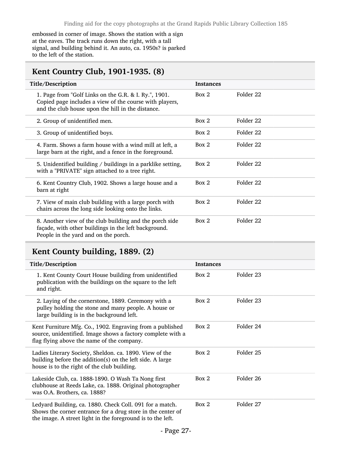embossed in corner of image. Shows the station with a sign at the eaves. The track runs down the right, with a tall signal, and building behind it. An auto, ca. 1950s? is parked to the left of the station.

# <span id="page-26-0"></span>Kent Country Club, 1901-1935. (8)

| Title/Description                                                                                                                                                     | <b>Instances</b> |           |
|-----------------------------------------------------------------------------------------------------------------------------------------------------------------------|------------------|-----------|
| 1. Page from "Golf Links on the G.R. & I. Ry.", 1901.<br>Copied page includes a view of the course with players,<br>and the club house upon the hill in the distance. | Box 2            | Folder 22 |
| 2. Group of unidentified men.                                                                                                                                         | Box 2            | Folder 22 |
| 3. Group of unidentified boys.                                                                                                                                        | Box 2            | Folder 22 |
| 4. Farm. Shows a farm house with a wind mill at left, a<br>large barn at the right, and a fence in the foreground.                                                    | Box 2            | Folder 22 |
| 5. Unidentified building / buildings in a parklike setting,<br>with a "PRIVATE" sign attached to a tree right.                                                        | Box 2            | Folder 22 |
| 6. Kent Country Club, 1902. Shows a large house and a<br>barn at right                                                                                                | Box 2            | Folder 22 |
| 7. View of main club building with a large porch with<br>chairs across the long side looking onto the links.                                                          | Box 2            | Folder 22 |
| 8. Another view of the club building and the porch side<br>façade, with other buildings in the left background.<br>People in the yard and on the porch.               | Box 2            | Folder 22 |

# <span id="page-26-1"></span>Kent County building, 1889. (2)

| Title/Description                                                                                                                                                                      | <b>Instances</b> |           |
|----------------------------------------------------------------------------------------------------------------------------------------------------------------------------------------|------------------|-----------|
| 1. Kent County Court House building from unidentified<br>publication with the buildings on the square to the left<br>and right.                                                        | Box 2            | Folder 23 |
| 2. Laying of the cornerstone, 1889. Ceremony with a<br>pulley holding the stone and many people. A house or<br>large building is in the background left.                               | Box 2            | Folder 23 |
| Kent Furniture Mfg. Co., 1902. Engraving from a published<br>source, unidentified. Image shows a factory complete with a<br>flag flying above the name of the company.                 | Box 2            | Folder 24 |
| Ladies Literary Society, Sheldon. ca. 1890. View of the<br>building before the addition(s) on the left side. A large<br>house is to the right of the club building.                    | Box 2            | Folder 25 |
| Lakeside Club, ca. 1888-1890. O Wash Ta Nong first<br>clubhouse at Reeds Lake, ca. 1888. Original photographer<br>was O.A. Brothers, ca. 1888?                                         | Box 2            | Folder 26 |
| Ledyard Building, ca. 1880. Check Coll. 091 for a match.<br>Shows the corner entrance for a drug store in the center of<br>the image. A street light in the foreground is to the left. | Box 2            | Folder 27 |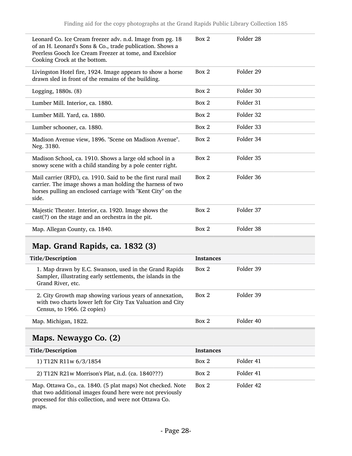| Leonard Co. Ice Cream freezer adv. n.d. Image from pg. 18<br>of an H. Leonard's Sons & Co., trade publication. Shows a<br>Peerless Gooch Ice Cream Freezer at tome, and Excelsior<br>Cooking Crock at the bottom. | Box 2 | Folder 28 |
|-------------------------------------------------------------------------------------------------------------------------------------------------------------------------------------------------------------------|-------|-----------|
| Livingston Hotel fire, 1924. Image appears to show a horse<br>drawn sled in front of the remains of the building.                                                                                                 | Box 2 | Folder 29 |
| Logging, 1880s. (8)                                                                                                                                                                                               | Box 2 | Folder 30 |
| Lumber Mill. Interior, ca. 1880.                                                                                                                                                                                  | Box 2 | Folder 31 |
| Lumber Mill. Yard, ca. 1880.                                                                                                                                                                                      | Box 2 | Folder 32 |
| Lumber schooner, ca. 1880.                                                                                                                                                                                        | Box 2 | Folder 33 |
| Madison Avenue view, 1896. "Scene on Madison Avenue".<br>Neg. 3180.                                                                                                                                               | Box 2 | Folder 34 |
| Madison School, ca. 1910. Shows a large old school in a<br>snowy scene with a child standing by a pole center right.                                                                                              | Box 2 | Folder 35 |
| Mail carrier (RFD), ca. 1910. Said to be the first rural mail<br>carrier. The image shows a man holding the harness of two<br>horses pulling an enclosed carriage with "Kent City" on the<br>side.                | Box 2 | Folder 36 |
| Majestic Theater. Interior, ca. 1920. Image shows the<br>cast(?) on the stage and an orchestra in the pit.                                                                                                        | Box 2 | Folder 37 |
| Map. Allegan County, ca. 1840.                                                                                                                                                                                    | Box 2 | Folder 38 |
|                                                                                                                                                                                                                   |       |           |

# <span id="page-27-0"></span>Map. Grand Rapids, ca. 1832 (3)

| Title/Description                                                                                                                                    | <b>Instances</b> |           |
|------------------------------------------------------------------------------------------------------------------------------------------------------|------------------|-----------|
| 1. Map drawn by E.C. Swanson, used in the Grand Rapids<br>Sampler, illustrating early settlements, the islands in the<br>Grand River, etc.           | Box 2            | Folder 39 |
| 2. City Growth map showing various years of annexation,<br>with two charts lower left for City Tax Valuation and City<br>Census, to 1966. (2 copies) | Box 2            | Folder 39 |
| Map. Michigan, 1822.                                                                                                                                 | Box 2            | Folder 40 |

# <span id="page-27-1"></span>Maps. Newaygo Co. (2)

| Title/Description                                                                                                                                                                 | <b>Instances</b> |           |
|-----------------------------------------------------------------------------------------------------------------------------------------------------------------------------------|------------------|-----------|
| 1) T12N R11w 6/3/1854                                                                                                                                                             | Box 2            | Folder 41 |
| 2) T12N R21w Morrison's Plat, n.d. (ca. 1840???)                                                                                                                                  | Box 2            | Folder 41 |
| Map. Ottawa Co., ca. 1840. (5 plat maps) Not checked. Note<br>that two additional images found here were not previously<br>processed for this collection, and were not Ottawa Co. | Box 2            | Folder 42 |

maps.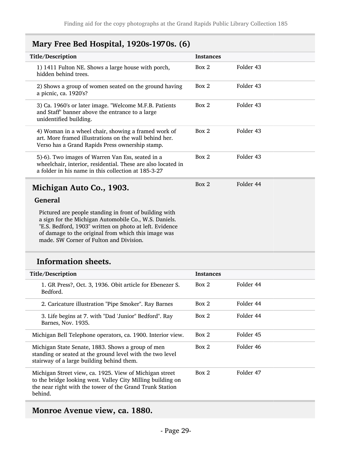### <span id="page-28-0"></span>Mary Free Bed Hospital, 1920s-1970s. (6)

<span id="page-28-1"></span>

| Title/Description                                                                                                                                                                                                                                                            | <b>Instances</b> |           |
|------------------------------------------------------------------------------------------------------------------------------------------------------------------------------------------------------------------------------------------------------------------------------|------------------|-----------|
| 1) 1411 Fulton NE. Shows a large house with porch,<br>hidden behind trees.                                                                                                                                                                                                   | Box 2            | Folder 43 |
| 2) Shows a group of women seated on the ground having<br>a picnic, ca. 1920's?                                                                                                                                                                                               | Box 2            | Folder 43 |
| 3) Ca. 1960's or later image. "Welcome M.F.B. Patients<br>and Staff" banner above the entrance to a large<br>unidentified building.                                                                                                                                          | Box 2            | Folder 43 |
| 4) Woman in a wheel chair, showing a framed work of<br>art. More framed illustrations on the wall behind her.<br>Verso has a Grand Rapids Press ownership stamp.                                                                                                             | Box 2            | Folder 43 |
| 5)-6). Two images of Warren Van Ess, seated in a<br>wheelchair, interior, residential. These are also located in<br>a folder in his name in this collection at 185-3-27                                                                                                      | Box 2            | Folder 43 |
| Michigan Auto Co., 1903.                                                                                                                                                                                                                                                     | Box 2            | Folder 44 |
| <b>General</b>                                                                                                                                                                                                                                                               |                  |           |
| Pictured are people standing in front of building with<br>a sign for the Michigan Automobile Co., W.S. Daniels.<br>"E.S. Bedford, 1903" written on photo at left. Evidence<br>of damage to the original from which this image was<br>made. SW Corner of Fulton and Division. |                  |           |
| <b>Information sheets.</b>                                                                                                                                                                                                                                                   |                  |           |
| Title/Description                                                                                                                                                                                                                                                            | <b>Instances</b> |           |
| 1. GR Press?, Oct. 3, 1936. Obit article for Ebenezer S.<br>Bedford.                                                                                                                                                                                                         | Box 2            | Folder 44 |
| 2. Caricature illustration "Pipe Smoker". Ray Barnes                                                                                                                                                                                                                         | Box 2            | Folder 44 |
| 3. Life begins at 7. with "Dad 'Junior" Bedford". Ray<br>Barnes, Nov. 1935.                                                                                                                                                                                                  | Box 2            | Folder 44 |
| Michigan Bell Telephone operators, ca. 1900. Interior view.                                                                                                                                                                                                                  | Box 2            | Folder 45 |

Michigan State Senate, 1883. Shows a group of men standing or seated at the ground level with the two level stairway of a large building behind them.

Michigan Street view, ca. 1925. View of Michigan street to the bridge looking west. Valley City Milling building on the near right with the tower of the Grand Trunk Station behind.

#### <span id="page-28-2"></span>Monroe Avenue view, ca. 1880.

Box 2 Folder 46

Box 2 Folder 47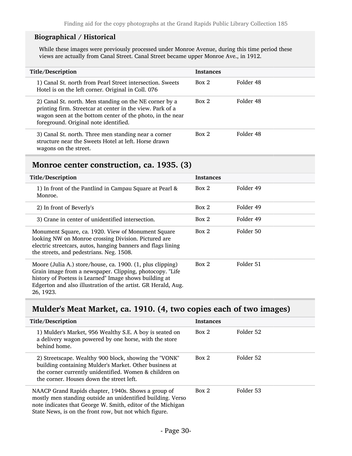#### Biographical / Historical

While these images were previously processed under Monroe Avenue, during this time period these views are actually from Canal Street. Canal Street became upper Monroe Ave., in 1912.

| Title/Description                                                                                                                                                                                                         | <b>Instances</b> |           |
|---------------------------------------------------------------------------------------------------------------------------------------------------------------------------------------------------------------------------|------------------|-----------|
| 1) Canal St. north from Pearl Street intersection. Sweets<br>Hotel is on the left corner. Original in Coll. 076                                                                                                           | Box 2            | Folder 48 |
| 2) Canal St. north. Men standing on the NE corner by a<br>printing firm. Streetcar at center in the view. Park of a<br>wagon seen at the bottom center of the photo, in the near<br>foreground. Original note identified. | Box 2            | Folder 48 |
| 3) Canal St. north. Three men standing near a corner<br>structure near the Sweets Hotel at left. Horse drawn<br>wagons on the street.                                                                                     | Box 2            | Folder 48 |

#### <span id="page-29-0"></span>Monroe center construction, ca. 1935. (3)

| Title/Description                                                                                                                                                                                                                                              | <b>Instances</b> |           |
|----------------------------------------------------------------------------------------------------------------------------------------------------------------------------------------------------------------------------------------------------------------|------------------|-----------|
| 1) In front of the Pantlind in Campau Square at Pearl &<br>Monroe.                                                                                                                                                                                             | Box 2            | Folder 49 |
| 2) In front of Beverly's                                                                                                                                                                                                                                       | Box 2            | Folder 49 |
| 3) Crane in center of unidentified intersection.                                                                                                                                                                                                               | Box 2            | Folder 49 |
| Monument Square, ca. 1920. View of Monument Square<br>looking NW on Monroe crossing Division. Pictured are<br>electric streetcars, autos, hanging banners and flags lining<br>the streets, and pedestrians. Neg. 1508.                                         | Box 2            | Folder 50 |
| Moore (Julia A.) store/house, ca. 1900. (1, plus clipping)<br>Grain image from a newspaper. Clipping, photocopy. "Life<br>history of Poetess is Learned" Image shows building at<br>Edgerton and also illustration of the artist. GR Herald, Aug.<br>26, 1923. | Box 2            | Folder 51 |

# <span id="page-29-1"></span>Mulder's Meat Market, ca. 1910. (4, two copies each of two images)

| Title/Description                                                                                                                                                                                                                           | <b>Instances</b> |           |
|---------------------------------------------------------------------------------------------------------------------------------------------------------------------------------------------------------------------------------------------|------------------|-----------|
| 1) Mulder's Market, 956 Wealthy S.E. A boy is seated on<br>a delivery wagon powered by one horse, with the store<br>behind home.                                                                                                            | Box 2            | Folder 52 |
| 2) Streetscape. Wealthy 900 block, showing the "VONK"<br>building containing Mulder's Market. Other business at<br>the corner currently unidentified. Women & children on<br>the corner. Houses down the street left.                       | Box 2            | Folder 52 |
| NAACP Grand Rapids chapter, 1940s. Shows a group of<br>mostly men standing outside an unidentified building. Verso<br>note indicates that George W. Smith, editor of the Michigan<br>State News, is on the front row, but not which figure. | Box 2            | Folder 53 |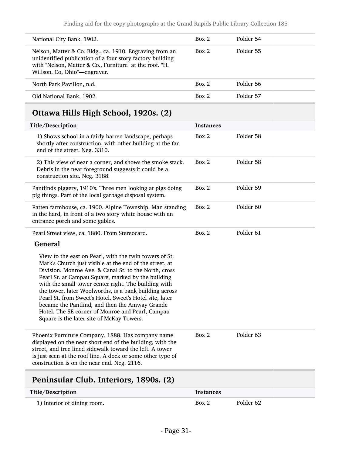| National City Bank, 1902.                                                                                                                                                                                       | Box 2 | Folder 54 |
|-----------------------------------------------------------------------------------------------------------------------------------------------------------------------------------------------------------------|-------|-----------|
| Nelson, Matter & Co. Bldg., ca. 1910. Engraving from an<br>unidentified publication of a four story factory building<br>with "Nelson, Matter & Co., Furniture" at the roof. "H.<br>Willson. Co, Ohio"-engraver. | Box 2 | Folder 55 |
| North Park Pavilion, n.d.                                                                                                                                                                                       | Box 2 | Folder 56 |
| Old National Bank, 1902.                                                                                                                                                                                        | Box 2 | Folder 57 |

# <span id="page-30-0"></span>Ottawa Hills High School, 1920s. (2)

| Title/Description                                                                                                                                                                                                                                                                                                                                                                                                                                                                                                                                                | <b>Instances</b> |                      |
|------------------------------------------------------------------------------------------------------------------------------------------------------------------------------------------------------------------------------------------------------------------------------------------------------------------------------------------------------------------------------------------------------------------------------------------------------------------------------------------------------------------------------------------------------------------|------------------|----------------------|
| 1) Shows school in a fairly barren landscape, perhaps<br>shortly after construction, with other building at the far<br>end of the street. Neg. 3310.                                                                                                                                                                                                                                                                                                                                                                                                             | Box 2            | Folder 58            |
| 2) This view of near a corner, and shows the smoke stack.<br>Debris in the near foreground suggests it could be a<br>construction site. Neg. 3188.                                                                                                                                                                                                                                                                                                                                                                                                               | Box 2            | Folder 58            |
| Pantlinds piggery, 1910's. Three men looking at pigs doing<br>pig things. Part of the local garbage disposal system.                                                                                                                                                                                                                                                                                                                                                                                                                                             | Box 2            | Folder 59            |
| Patten farmhouse, ca. 1900. Alpine Township. Man standing<br>in the hard, in front of a two story white house with an<br>entrance porch and some gables.                                                                                                                                                                                                                                                                                                                                                                                                         | Box 2            | Folder <sub>60</sub> |
| Pearl Street view, ca. 1880. From Stereocard.                                                                                                                                                                                                                                                                                                                                                                                                                                                                                                                    | Box 2            | Folder <sub>61</sub> |
| <b>General</b>                                                                                                                                                                                                                                                                                                                                                                                                                                                                                                                                                   |                  |                      |
| View to the east on Pearl, with the twin towers of St.<br>Mark's Church just visible at the end of the street, at<br>Division. Monroe Ave. & Canal St. to the North, cross<br>Pearl St. at Campau Square, marked by the building<br>with the small tower center right. The building with<br>the tower, later Woolworths, is a bank building across<br>Pearl St. from Sweet's Hotel. Sweet's Hotel site, later<br>became the Pantlind, and then the Amway Grande<br>Hotel. The SE corner of Monroe and Pearl, Campau<br>Square is the later site of McKay Towers. |                  |                      |
| Phoenix Furniture Company, 1888. Has company name<br>displayed on the near short end of the building, with the<br>street, and tree lined sidewalk toward the left. A tower<br>is just seen at the roof line. A dock or some other type of<br>construction is on the near end. Neg. 2116.                                                                                                                                                                                                                                                                         | Box 2            | Folder <sub>63</sub> |
|                                                                                                                                                                                                                                                                                                                                                                                                                                                                                                                                                                  |                  |                      |

# <span id="page-30-1"></span>Peninsular Club. Interiors, 1890s. (2)

| Title/Description           | Instances |           |
|-----------------------------|-----------|-----------|
| 1) Interior of dining room. | Box 2     | Folder 62 |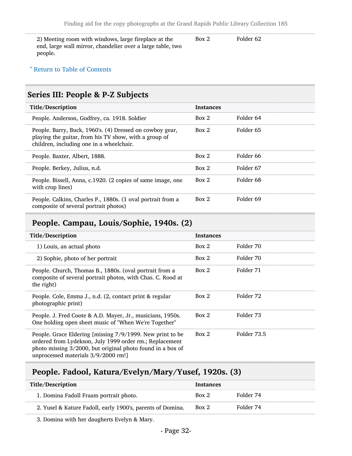2) Meeting room with windows, large fireplace at the end, large wall mirror, chandelier over a large table, two people. Box 2 Folder 62

#### ^ [Return to Table of Contents](#page-1-0)

### <span id="page-31-0"></span>Series III: People & P-Z Subjects

| Title/Description                                                                                                                                             | <b>Instances</b> |                      |
|---------------------------------------------------------------------------------------------------------------------------------------------------------------|------------------|----------------------|
| People. Anderson, Godfrey, ca. 1918. Soldier                                                                                                                  | Box 2            | Folder 64            |
| People. Barry, Buck, 1960's. (4) Dressed on cowboy gear,<br>playing the guitar, from his TV show, with a group of<br>children, including one in a wheelchair. | Box 2            | Folder 65            |
| People. Baxter, Albert, 1888.                                                                                                                                 | Box 2            | Folder 66            |
| People. Berkey, Julius, n.d.                                                                                                                                  | Box 2            | Folder 67            |
| People. Bissell, Anna, c.1920. (2 copies of same image, one<br>with crop lines)                                                                               | Box 2            | Folder 68            |
| People. Calkins, Charles P., 1880s. (1 oval portrait from a<br>composite of several portrait photos)                                                          | Box 2            | Folder <sub>69</sub> |

#### <span id="page-31-1"></span>People. Campau, Louis/Sophie, 1940s. (2)

| Title/Description                                                                                                                                                                                                         | <b>Instances</b> |             |
|---------------------------------------------------------------------------------------------------------------------------------------------------------------------------------------------------------------------------|------------------|-------------|
| 1) Louis, an actual photo                                                                                                                                                                                                 | Box 2            | Folder 70   |
| 2) Sophie, photo of her portrait                                                                                                                                                                                          | Box 2            | Folder 70   |
| People. Church, Thomas B., 1880s. (oval portrait from a<br>composite of several portrait photos, with Chas. C. Rood at<br>the right)                                                                                      | Box 2            | Folder 71   |
| People. Cole, Emma J., n.d. (2, contact print & regular<br>photographic print)                                                                                                                                            | Box 2            | Folder 72   |
| People. J. Fred Coote & A.D. Mayer, Jr., musicians, 1950s.<br>One holding open sheet music of "When We're Together"                                                                                                       | Box 2            | Folder 73   |
| People. Grace Eldering [missing 7/9/1999. New print to be<br>ordered from Lydekson, July 1999 order rm.; Replacement<br>photo missing 3/2000, but original photo found in a box of<br>unprocessed materials 3/9/2000 rm!] | Box 2            | Folder 73.5 |

### <span id="page-31-2"></span>People. Fadool, Katura/Evelyn/Mary/Yusef, 1920s. (3)

| Title/Description                                          | <b>Instances</b> |           |
|------------------------------------------------------------|------------------|-----------|
| 1. Domina Fadoll Fraam portrait photo.                     | Box 2            | Folder 74 |
| 2. Yusel & Kature Fadoll, early 1900's, parents of Domina. | Box 2            | Folder 74 |

3. Domina with her daugherts Evelyn & Mary.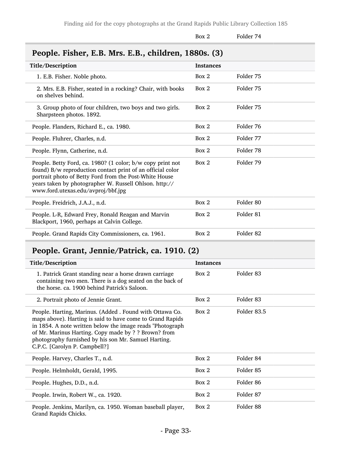<span id="page-32-0"></span>

|                                                                                                                                                                                                                                                                                    | Box 2            | Folder 74            |
|------------------------------------------------------------------------------------------------------------------------------------------------------------------------------------------------------------------------------------------------------------------------------------|------------------|----------------------|
| People. Fisher, E.B. Mrs. E.B., children, 1880s. (3)                                                                                                                                                                                                                               |                  |                      |
| Title/Description                                                                                                                                                                                                                                                                  | <b>Instances</b> |                      |
| 1. E.B. Fisher. Noble photo.                                                                                                                                                                                                                                                       | Box 2            | Folder 75            |
| 2. Mrs. E.B. Fisher, seated in a rocking? Chair, with books<br>on shelves behind.                                                                                                                                                                                                  | Box 2            | Folder 75            |
| 3. Group photo of four children, two boys and two girls.<br>Sharpsteen photos. 1892.                                                                                                                                                                                               | Box 2            | Folder 75            |
| People. Flanders, Richard E., ca. 1980.                                                                                                                                                                                                                                            | Box 2            | Folder 76            |
| People. Fluhrer, Charles, n.d.                                                                                                                                                                                                                                                     | Box 2            | Folder 77            |
| People. Flynn, Catherine, n.d.                                                                                                                                                                                                                                                     | Box 2            | Folder 78            |
| People. Betty Ford, ca. 1980? (1 color; b/w copy print not<br>found) B/w reproduction contact print of an official color<br>portrait photo of Betty Ford from the Post-White House<br>years taken by photographer W. Russell Ohlson. http://<br>www.ford.utexas.edu/avproj/bbf.jpg | Box 2            | Folder 79            |
| People. Freidrich, J.A.J., n.d.                                                                                                                                                                                                                                                    | Box 2            | Folder 80            |
| People. L-R, Edward Frey, Ronald Reagan and Marvin<br>Blackport, 1960, perhaps at Calvin College.                                                                                                                                                                                  | Box 2            | Folder 81            |
| People. Grand Rapids City Commissioners, ca. 1961.                                                                                                                                                                                                                                 | Box 2            | Folder <sub>82</sub> |

# <span id="page-32-1"></span>People. Grant, Jennie/Patrick, ca. 1910. (2)

| Title/Description                                                                                                                                                                                                                                                                                                                    | <b>Instances</b> |                      |
|--------------------------------------------------------------------------------------------------------------------------------------------------------------------------------------------------------------------------------------------------------------------------------------------------------------------------------------|------------------|----------------------|
| 1. Patrick Grant standing near a horse drawn carriage<br>containing two men. There is a dog seated on the back of<br>the horse, ca. 1900 behind Patrick's Saloon.                                                                                                                                                                    | Box 2            | Folder 83            |
| 2. Portrait photo of Jennie Grant.                                                                                                                                                                                                                                                                                                   | Box 2            | Folder 83            |
| People. Harting, Marinus. (Added . Found with Ottawa Co.<br>maps above). Harting is said to have come to Grand Rapids<br>in 1854. A note written below the image reads "Photograph"<br>of Mr. Marinus Harting. Copy made by ? ? Brown? from<br>photography furnished by his son Mr. Samuel Harting.<br>C.P.C. [Carolyn P. Campbell?] | Box 2            | Folder 83.5          |
| People. Harvey, Charles T., n.d.                                                                                                                                                                                                                                                                                                     | Box 2            | Folder 84            |
| People. Helmholdt, Gerald, 1995.                                                                                                                                                                                                                                                                                                     | Box 2            | Folder 85            |
| People. Hughes, D.D., n.d.                                                                                                                                                                                                                                                                                                           | Box 2            | Folder <sub>86</sub> |
| People. Irwin, Robert W., ca. 1920.                                                                                                                                                                                                                                                                                                  | Box 2            | Folder 87            |
| People. Jenkins, Marilyn, ca. 1950. Woman baseball player,<br>Grand Rapids Chicks.                                                                                                                                                                                                                                                   | Box 2            | Folder <sub>88</sub> |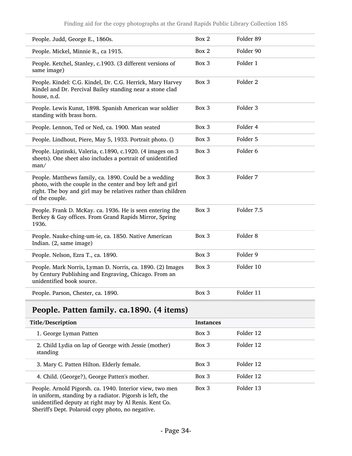| People. Judd, George E., 1860s.                                                                                                                                                                        | Box 2 | Folder 89           |
|--------------------------------------------------------------------------------------------------------------------------------------------------------------------------------------------------------|-------|---------------------|
| People. Mickel, Minnie R., ca 1915.                                                                                                                                                                    | Box 2 | Folder 90           |
| People. Ketchel, Stanley, c.1903. (3 different versions of<br>same image)                                                                                                                              | Box 3 | Folder 1            |
| People. Kindel: C.G. Kindel, Dr. C.G. Herrick, Mary Harvey<br>Kindel and Dr. Percival Bailey standing near a stone clad<br>house, n.d.                                                                 | Box 3 | Folder <sub>2</sub> |
| People. Lewis Kunst, 1898. Spanish American war soldier<br>standing with brass horn.                                                                                                                   | Box 3 | Folder 3            |
| People. Lennon, Ted or Ned, ca. 1900. Man seated                                                                                                                                                       | Box 3 | Folder 4            |
| People. Lindhout, Piere, May 5, 1933. Portrait photo. ()                                                                                                                                               | Box 3 | Folder 5            |
| People. Lipzinski, Valeria, c.1890, c.1920. (4 images on 3<br>sheets). One sheet also includes a portrait of unidentified<br>man/                                                                      | Box 3 | Folder 6            |
| People. Matthews family, ca. 1890. Could be a wedding<br>photo, with the couple in the center and boy left and girl<br>right. The boy and girl may be relatives rather than children<br>of the couple. | Box 3 | Folder 7            |
| People. Frank D. McKay. ca. 1936. He is seen entering the<br>Berkey & Gay offices. From Grand Rapids Mirror, Spring<br>1936.                                                                           | Box 3 | Folder 7.5          |
| People. Nauke-ching-um-ie, ca. 1850. Native American<br>Indian. (2, same image)                                                                                                                        | Box 3 | Folder <sub>8</sub> |
| People. Nelson, Ezra T., ca. 1890.                                                                                                                                                                     | Box 3 | Folder 9            |
| People. Mark Norris, Lyman D. Norris, ca. 1890. (2) Images<br>by Century Publishing and Engraving, Chicago. From an<br>unidentified book source.                                                       | Box 3 | Folder 10           |
| People. Parson, Chester, ca. 1890.                                                                                                                                                                     | Box 3 | Folder 11           |

# <span id="page-33-0"></span>People. Patten family. ca.1890. (4 items)

| Title/Description                                                                                                                                                              | <b>Instances</b> |           |
|--------------------------------------------------------------------------------------------------------------------------------------------------------------------------------|------------------|-----------|
| 1. George Lyman Patten                                                                                                                                                         | $Box\ 3$         | Folder 12 |
| 2. Child Lydia on lap of George with Jessie (mother)<br>standing                                                                                                               | $Box\ 3$         | Folder 12 |
| 3. Mary C. Patten Hilton. Elderly female.                                                                                                                                      | Box 3            | Folder 12 |
| 4. Child. (George?), George Patten's mother.                                                                                                                                   | $Box\ 3$         | Folder 12 |
| People. Arnold Pigorsh. ca. 1940. Interior view, two men<br>in uniform, standing by a radiator. Pigorsh is left, the<br>unidentified deputy at right may by Al Renis. Kent Co. | Box 3            | Folder 13 |

Sheriff's Dept. Polaroid copy photo, no negative.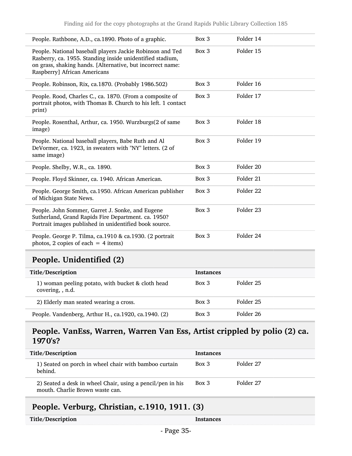| People. Rathbone, A.D., ca.1890. Photo of a graphic.                                                                                                                                                                 | Box 3 | Folder 14 |
|----------------------------------------------------------------------------------------------------------------------------------------------------------------------------------------------------------------------|-------|-----------|
| People. National baseball players Jackie Robinson and Ted<br>Rasberry, ca. 1955. Standing inside unidentified stadium,<br>on grass, shaking hands. [Alternative, but incorrect name:<br>Raspberry] African Americans | Box 3 | Folder 15 |
| People. Robinson, Rix, ca.1870. (Probably 1986.502)                                                                                                                                                                  | Box 3 | Folder 16 |
| People. Rood, Charles C., ca. 1870. (From a composite of<br>portrait photos, with Thomas B. Church to his left. 1 contact<br>print)                                                                                  | Box 3 | Folder 17 |
| People. Rosenthal, Arthur, ca. 1950. Wurzburgs(2 of same<br>image)                                                                                                                                                   | Box 3 | Folder 18 |
| People. National baseball players, Babe Ruth and Al<br>DeVormer, ca. 1923, in sweaters with "NY" letters. (2 of<br>same image)                                                                                       | Box 3 | Folder 19 |
| People. Shelby, W.R., ca. 1890.                                                                                                                                                                                      | Box 3 | Folder 20 |
| People. Floyd Skinner, ca. 1940. African American.                                                                                                                                                                   | Box 3 | Folder 21 |
| People. George Smith, ca.1950. African American publisher<br>of Michigan State News.                                                                                                                                 | Box 3 | Folder 22 |
| People. John Sommer, Garret J. Sonke, and Eugene<br>Sutherland, Grand Rapids Fire Department. ca. 1950?<br>Portrait images published in unidentified book source.                                                    | Box 3 | Folder 23 |
| People. George P. Tilma, ca.1910 & ca.1930. (2 portrait<br>photos, 2 copies of each $=$ 4 items)                                                                                                                     | Box 3 | Folder 24 |

# <span id="page-34-0"></span>People. Unidentified (2)

| Title/Description                                                     | <b>Instances</b> |           |
|-----------------------------------------------------------------------|------------------|-----------|
| 1) woman peeling potato, with bucket & cloth head<br>covering, , n.d. | $Box\ 3$         | Folder 25 |
| 2) Elderly man seated wearing a cross.                                | $Box\ 3$         | Folder 25 |
| People. Vandenberg, Arthur H., ca.1920, ca.1940. (2)                  | $Box\ 3$         | Folder 26 |

#### <span id="page-34-1"></span>People. VanEss, Warren, Warren Van Ess, Artist crippled by polio (2) ca. 1970's?

| Title/Description                                                                             | <b>Instances</b> |           |
|-----------------------------------------------------------------------------------------------|------------------|-----------|
| 1) Seated on porch in wheel chair with bamboo curtain<br>behind.                              | $Box\ 3$         | Folder 27 |
| 2) Seated a desk in wheel Chair, using a pencil/pen in his<br>mouth. Charlie Brown waste can. | $Box\ 3$         | Folder 27 |

# <span id="page-34-2"></span>People. Verburg, Christian, c.1910, 1911. (3)

| Title/Description | Instances |
|-------------------|-----------|
|-------------------|-----------|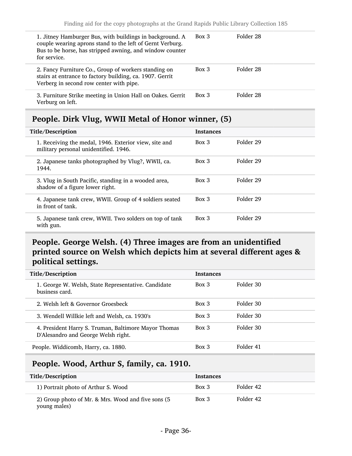| 1. Jitney Hamburger Bus, with buildings in background. A<br>couple wearing aprons stand to the left of Gernt Verburg.<br>Bus to be horse, has stripped awning, and window counter<br>for service. | $Box\ 3$ | Folder 28 |  |
|---------------------------------------------------------------------------------------------------------------------------------------------------------------------------------------------------|----------|-----------|--|
| 2. Fancy Furniture Co., Group of workers standing on<br>stairs at entrance to factory building, ca. 1907. Gerrit<br>Verberg in second row center with pipe.                                       | $Box\ 3$ | Folder 28 |  |
| 3. Furniture Strike meeting in Union Hall on Oakes. Gerrit<br>Verburg on left.                                                                                                                    | $Box\ 3$ | Folder 28 |  |

# <span id="page-35-0"></span>People. Dirk Vlug, WWII Metal of Honor winner, (5)

| Title/Description                                                                              | <b>Instances</b> |           |
|------------------------------------------------------------------------------------------------|------------------|-----------|
| 1. Receiving the medal, 1946. Exterior view, site and<br>military personal unidentified. 1946. | Box 3            | Folder 29 |
| 2. Japanese tanks photographed by Vlug?, WWII, ca.<br>1944.                                    | Box 3            | Folder 29 |
| 3. Vlug in South Pacific, standing in a wooded area,<br>shadow of a figure lower right.        | $Box\ 3$         | Folder 29 |
| 4. Japanese tank crew, WWII. Group of 4 soldiers seated<br>in front of tank.                   | Box 3            | Folder 29 |
| 5. Japanese tank crew, WWII. Two solders on top of tank<br>with gun.                           | $Box\ 3$         | Folder 29 |

## <span id="page-35-1"></span>People. George Welsh. (4) Three images are from an unidentified printed source on Welsh which depicts him at several different ages & political settings.

| Title/Description                                                                           | <b>Instances</b> |           |
|---------------------------------------------------------------------------------------------|------------------|-----------|
| 1. George W. Welsh, State Representative. Candidate<br>business card.                       | $Box$ 3          | Folder 30 |
| 2. Welsh left & Governor Groesbeck                                                          | $Box$ 3          | Folder 30 |
| 3. Wendell Willkie left and Welsh, ca. 1930's                                               | $Box$ 3          | Folder 30 |
| 4. President Harry S. Truman, Baltimore Mayor Thomas<br>D'Alesandro and George Welsh right. | $Box$ 3          | Folder 30 |
| People. Widdicomb, Harry, ca. 1880.                                                         | $Box\ 3$         | Folder 41 |

### <span id="page-35-2"></span>People. Wood, Arthur S, family, ca. 1910.

| Title/Description                                                  | <b>Instances</b> |           |  |
|--------------------------------------------------------------------|------------------|-----------|--|
| 1) Portrait photo of Arthur S. Wood                                | Box 3            | Folder 42 |  |
| 2) Group photo of Mr. & Mrs. Wood and five sons (5<br>young males) | $Box\ 3$         | Folder 42 |  |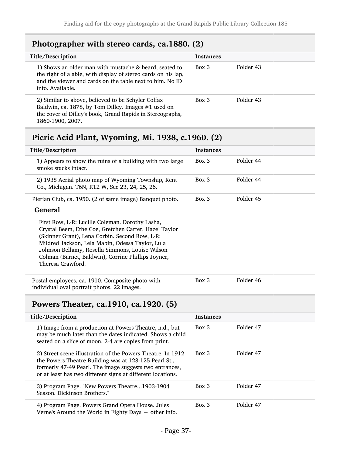# <span id="page-36-0"></span>Photographer with stereo cards, ca.1880. (2)

| Title/Description                                                                                                                                                                                       | <b>Instances</b> |           |
|---------------------------------------------------------------------------------------------------------------------------------------------------------------------------------------------------------|------------------|-----------|
| 1) Shows an older man with mustache & beard, seated to<br>the right of a able, with display of stereo cards on his lap,<br>and the viewer and cards on the table next to him. No ID<br>info. Available. | $Box\ 3$         | Folder 43 |
| 2) Similar to above, believed to be Schyler Colfax<br>Baldwin, ca. 1878, by Tom Dilley. Images #1 used on<br>the cover of Dilley's book, Grand Rapids in Stereographs,<br>1860-1900, 2007.              | $Box\ 3$         | Folder 43 |

# <span id="page-36-1"></span>Picric Acid Plant, Wyoming, Mi. 1938, c.1960. (2)

| Title/Description                                                                                                                                           | <b>Instances</b> |           |
|-------------------------------------------------------------------------------------------------------------------------------------------------------------|------------------|-----------|
| 1) Appears to show the ruins of a building with two large<br>smoke stacks intact.                                                                           | Box 3            | Folder 44 |
| 2) 1938 Aerial photo map of Wyoming Township, Kent<br>Co., Michigan. T6N, R12 W, Sec 23, 24, 25, 26.                                                        | Box 3            | Folder 44 |
| Pierian Club, ca. 1950. (2 of same image) Banquet photo.                                                                                                    | Box 3            | Folder 45 |
| <b>General</b><br>First Row, L-R: Lucille Coleman. Dorothy Lasha,                                                                                           |                  |           |
| Crystal Beem, EthelCoe, Gretchen Carter, Hazel Taylor<br>(Skinner Grant), Lena Corbin. Second Row, L-R:<br>Mildred Jackson, Lela Mabin, Odessa Taylor, Lula |                  |           |
| Johnson Bellamy, Rosella Simmons, Louise Wilson<br>Colman (Barnet, Baldwin), Corrine Phillips Joyner,                                                       |                  |           |
| Theresa Crawford.                                                                                                                                           |                  |           |
| Postal employees, ca. 1910. Composite photo with<br>individual oval portrait photos. 22 images.                                                             | Box 3            | Folder 46 |

### <span id="page-36-2"></span>Powers Theater, ca.1910, ca.1920. (5)

| Title/Description                                                                                                                                                                                                                              | <b>Instances</b> |           |
|------------------------------------------------------------------------------------------------------------------------------------------------------------------------------------------------------------------------------------------------|------------------|-----------|
| 1) Image from a production at Powers Theatre, n.d., but<br>may be much later than the dates indicated. Shows a child<br>seated on a slice of moon. 2-4 are copies from print.                                                                  | $Box$ 3          | Folder 47 |
| 2) Street scene illustration of the Powers Theatre. In 1912<br>the Powers Theatre Building was at 123-125 Pearl St.,<br>formerly 47-49 Pearl. The image suggests two entrances,<br>or at least has two different signs at different locations. | Box 3            | Folder 47 |
| 3) Program Page. "New Powers Theatre1903-1904<br>Season, Dickinson Brothers."                                                                                                                                                                  | $Box\ 3$         | Folder 47 |
| 4) Program Page. Powers Grand Opera House. Jules<br>Verne's Around the World in Eighty Days $+$ other info.                                                                                                                                    | $Box$ 3          | Folder 47 |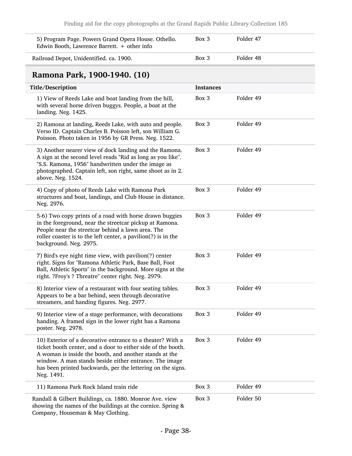<span id="page-37-0"></span>

| 5) Program Page. Powers Grand Opera House. Othello.<br>Edwin Booth, Lawrence Barrett. $+$ other info                                                                                                                                                                                                                        | Box 3            | Folder 47 |  |
|-----------------------------------------------------------------------------------------------------------------------------------------------------------------------------------------------------------------------------------------------------------------------------------------------------------------------------|------------------|-----------|--|
| Railroad Depot, Unidentified. ca. 1900.                                                                                                                                                                                                                                                                                     | Box 3            | Folder 48 |  |
| Ramona Park, 1900-1940. (10)                                                                                                                                                                                                                                                                                                |                  |           |  |
| Title/Description                                                                                                                                                                                                                                                                                                           | <b>Instances</b> |           |  |
| 1) View of Reeds Lake and boat landing from the hill,<br>with several horse driven buggys. People, a boat at the<br>landing. Neg. 1425.                                                                                                                                                                                     | Box 3            | Folder 49 |  |
| 2) Ramona at landing, Reeds Lake, with auto and people.<br>Verso ID. Captain Charles B. Poisson left, son William G.<br>Poisson. Photo taken in 1956 by GR Press. Neg. 1522.                                                                                                                                                | Box 3            | Folder 49 |  |
| 3) Another nearer view of dock landing and the Ramona.<br>A sign at the second level reads "Rid as long as you like".<br>"S.S. Ramona, 1956" handwritten under the image as<br>photographed. Captain left, son right, same shoot as in 2.<br>above. Neg. 1524.                                                              | Box 3            | Folder 49 |  |
| 4) Copy of photo of Reeds Lake with Ramona Park<br>structures and boat, landings, and Club House in distance.<br>Neg. 2976.                                                                                                                                                                                                 | Box 3            | Folder 49 |  |
| 5-6) Two copy prints of a road with horse drawn buggies<br>in the foreground, near the streetcar pickup at Ramona.<br>People near the streetcar behind a lawn area. The<br>roller coaster is to the left center, a pavilion(?) is in the<br>background. Neg. 2975.                                                          | Box 3            | Folder 49 |  |
| 7) Bird's eye night time view, with pavilion(?) center<br>right. Signs for "Ramona Athletic Park, Base Ball, Foot<br>Ball, Athletic Sports" in the background. More signs at the<br>right. ?Froy's ? Threatre" center right. Neg. 2979.                                                                                     | Box 3            | Folder 49 |  |
| 8) Interior view of a restaurant with four seating tables.<br>Appears to be a bar behind, seen through decorative<br>streamers, and handing figures. Neg. 2977.                                                                                                                                                             | Box 3            | Folder 49 |  |
| 9) Interior view of a stage performance, with decorations<br>handing. A framed sign in the lower right has a Ramona<br>poster. Neg. 2978.                                                                                                                                                                                   | Box 3            | Folder 49 |  |
| 10) Exterior of a decorative entrance to a theater? With a<br>ticket booth center, and a door to either side of the booth.<br>A woman is inside the booth, and another stands at the<br>window. A man stands beside either entrance. The image<br>has been printed backwards, per the lettering on the signs.<br>Neg. 1491. | Box 3            | Folder 49 |  |
| 11) Ramona Park Rock Island train ride                                                                                                                                                                                                                                                                                      | Box 3            | Folder 49 |  |
| Randall & Gilbert Buildings, ca. 1880. Monroe Ave. view<br>showing the names of the buildings at the cornice. Spring &<br>Company, Houseman & May Clothing.                                                                                                                                                                 | Box 3            | Folder 50 |  |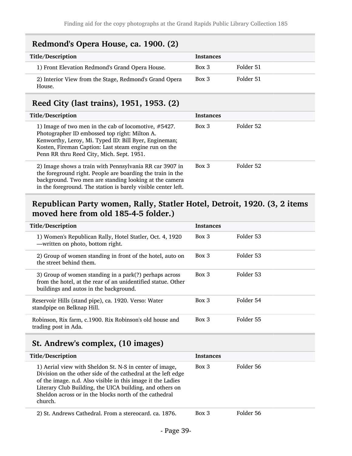#### <span id="page-38-0"></span>Redmond's Opera House, ca. 1900. (2)

| Title/Description                                                | <b>Instances</b> |           |  |
|------------------------------------------------------------------|------------------|-----------|--|
| 1) Front Elevation Redmond's Grand Opera House.                  | Box 3            | Folder 51 |  |
| 2) Interior View from the Stage, Redmond's Grand Opera<br>House. | $Box\ 3$         | Folder 51 |  |

# <span id="page-38-1"></span>Reed City (last trains), 1951, 1953. (2)

| Title/Description                                                                                                                                                                                                                                                    | <b>Instances</b> |           |
|----------------------------------------------------------------------------------------------------------------------------------------------------------------------------------------------------------------------------------------------------------------------|------------------|-----------|
| 1) Image of two men in the cab of locomotive, #5427.<br>Photographer ID embossed top right: Milton A.<br>Kenworthy, Leroy, Mi. Typed ID: Bill Byer, Engineman;<br>Kosten, Fireman Caption: Last steam engine run on the<br>Penn RR thru Reed City, Mich. Sept. 1951. | Box 3            | Folder 52 |
| 2) Image shows a train with Pennsylvania RR car 3907 in<br>the foreground right. People are boarding the train in the<br>background. Two men are standing looking at the camera<br>in the foreground. The station is barely visible center left.                     | $Box$ 3          | Folder 52 |

### <span id="page-38-2"></span>Republican Party women, Rally, Statler Hotel, Detroit, 1920. (3, 2 items moved here from old 185-4-5 folder.)

| Title/Description                                                                                                                                                | <b>Instances</b> |           |
|------------------------------------------------------------------------------------------------------------------------------------------------------------------|------------------|-----------|
| 1) Women's Republican Rally, Hotel Statler, Oct. 4, 1920<br>-written on photo, bottom right.                                                                     | $Box$ 3          | Folder 53 |
| 2) Group of women standing in front of the hotel, auto on<br>the street behind them.                                                                             | $Box\ 3$         | Folder 53 |
| 3) Group of women standing in a park(?) perhaps across<br>from the hotel, at the rear of an unidentified statue. Other<br>buildings and autos in the background. | $Box$ 3          | Folder 53 |
| Reservoir Hills (stand pipe), ca. 1920. Verso: Water<br>standpipe on Belknap Hill.                                                                               | $Box\ 3$         | Folder 54 |
| Robinson, Rix farm, c.1900. Rix Robinson's old house and<br>trading post in Ada.                                                                                 | $Box\ 3$         | Folder 55 |

# <span id="page-38-3"></span>St. Andrew's complex, (10 images)

| Title/Description                                                                                                                                                                                                                                                                                                       | <b>Instances</b> |           |
|-------------------------------------------------------------------------------------------------------------------------------------------------------------------------------------------------------------------------------------------------------------------------------------------------------------------------|------------------|-----------|
| 1) Aerial view with Sheldon St. N-S in center of image,<br>Division on the other side of the cathedral at the left edge<br>of the image. n.d. Also visible in this image it the Ladies<br>Literary Club Building, the UICA building, and others on<br>Sheldon across or in the blocks north of the cathedral<br>church. | $Box\ 3$         | Folder 56 |
| 2) St. Andrews Cathedral. From a stereocard. ca. 1876.                                                                                                                                                                                                                                                                  | $Box$ 3          | Folder 56 |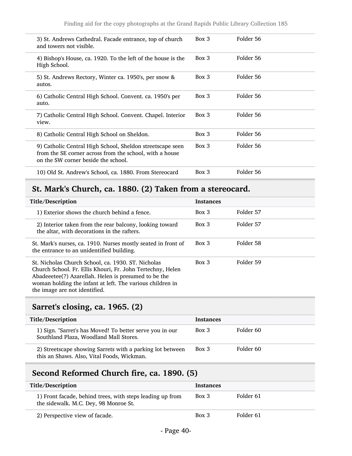| 3) St. Andrews Cathedral. Facade entrance, top of church<br>and towers not visible.                                                                         | $Box\ 3$ | Folder 56 |
|-------------------------------------------------------------------------------------------------------------------------------------------------------------|----------|-----------|
| 4) Bishop's House, ca. 1920. To the left of the house is the<br>High School.                                                                                | Box 3    | Folder 56 |
| 5) St. Andrews Rectory, Winter ca. 1950's, per snow &<br>autos.                                                                                             | $Box\ 3$ | Folder 56 |
| 6) Catholic Central High School. Convent. ca. 1950's per<br>auto.                                                                                           | Box 3    | Folder 56 |
| 7) Catholic Central High School. Convent. Chapel. Interior<br>view.                                                                                         | Box 3    | Folder 56 |
| 8) Catholic Central High School on Sheldon.                                                                                                                 | Box 3    | Folder 56 |
| 9) Catholic Central High School, Sheldon streetscape seen<br>from the SE corner across from the school, with a house<br>on the SW corner beside the school. | Box 3    | Folder 56 |
| 10) Old St. Andrew's School, ca. 1880. From Stereocard                                                                                                      | $Box\ 3$ | Folder 56 |

# <span id="page-39-0"></span>St. Mark's Church, ca. 1880. (2) Taken from a stereocard.

| Title/Description                                                                                                                                                                                                                                                      | <b>Instances</b> |           |
|------------------------------------------------------------------------------------------------------------------------------------------------------------------------------------------------------------------------------------------------------------------------|------------------|-----------|
| 1) Exterior shows the church behind a fence.                                                                                                                                                                                                                           | $Box\ 3$         | Folder 57 |
| 2) Interior taken from the rear balcony, looking toward<br>the altar, with decorations in the rafters.                                                                                                                                                                 | $Box\ 3$         | Folder 57 |
| St. Mark's nurses, ca. 1910. Nurses mostly seated in front of<br>the entrance to an unidentified building.                                                                                                                                                             | $Box\ 3$         | Folder 58 |
| St. Nicholas Church School, ca. 1930. ST. Nicholas<br>Church School. Fr. Ellis Khouri, Fr. John Tertechny, Helen<br>Abadeeetee(?) Azarellah. Helen is presumed to be the<br>woman holding the infant at left. The various children in<br>the image are not identified. | $Box$ 3          | Folder 59 |

# <span id="page-39-1"></span>Sarret's closing, ca. 1965. (2)

| Title/Description                                                                                       | <b>Instances</b> |           |
|---------------------------------------------------------------------------------------------------------|------------------|-----------|
| 1) Sign. "Sarret's has Moved! To better serve you in our<br>Southland Plaza, Woodland Mall Stores.      | $Box$ 3          | Folder 60 |
| 2) Streetscape showing Sarrets with a parking lot between<br>this an Shaws. Also, Vital Foods, Wickman. | Box 3            | Folder 60 |

# <span id="page-39-2"></span>Second Reformed Church fire, ca. 1890. (5)

| Title/Description                                                                                  | <b>Instances</b> |           |
|----------------------------------------------------------------------------------------------------|------------------|-----------|
| 1) Front facade, behind trees, with steps leading up from<br>the sidewalk. M.C. Dey, 98 Monroe St. | Box 3            | Folder 61 |
| 2) Perspective view of facade.                                                                     | $Box\ 3$         | Folder 61 |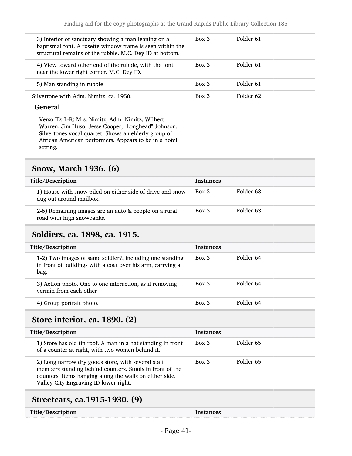| 3) Interior of sanctuary showing a man leaning on a<br>baptismal font. A rosette window frame is seen within the<br>structural remains of the rubble. M.C. Dey ID at bottom. | $Box\ 3$ | Folder 61 |
|------------------------------------------------------------------------------------------------------------------------------------------------------------------------------|----------|-----------|
| 4) View toward other end of the rubble, with the font<br>near the lower right corner. M.C. Dey ID.                                                                           | Box 3    | Folder 61 |
| 5) Man standing in rubble                                                                                                                                                    | Box 3    | Folder 61 |
| Silvertone with Adm. Nimitz, ca. 1950.                                                                                                                                       | $Box$ 3  | Folder 62 |

#### General

Verso ID: L-R: Mrs. Nimitz, Adm. Nimitz, Wilbert Warren, Jim Huso, Jesse Cooper, "Longhead" Johnson. Silvertones vocal quartet. Shows an elderly group of African American performers. Appears to be in a hotel setting.

#### <span id="page-40-0"></span>Snow, March 1936. (6)

| Title/Description                                                                    | <b>Instances</b> |           |
|--------------------------------------------------------------------------------------|------------------|-----------|
| 1) House with snow piled on either side of drive and snow<br>dug out around mailbox. | $Box\ 3$         | Folder 63 |
| 2-6) Remaining images are an auto & people on a rural<br>road with high snowbanks.   | $Box\ 3$         | Folder 63 |

#### <span id="page-40-1"></span>Soldiers, ca. 1898, ca. 1915.

| Title/Description                                                                                                              | <b>Instances</b> |           |
|--------------------------------------------------------------------------------------------------------------------------------|------------------|-----------|
| 1-2) Two images of same soldier?, including one standing<br>in front of buildings with a coat over his arm, carrying a<br>bag. | Box 3            | Folder 64 |
| 3) Action photo. One to one interaction, as if removing<br>vermin from each other                                              | $Box\ 3$         | Folder 64 |
| 4) Group portrait photo.                                                                                                       | Box 3            | Folder 64 |

#### <span id="page-40-2"></span>Store interior, ca. 1890. (2)

| Title/Description                                                                                                                                                                                                  | <b>Instances</b> |           |
|--------------------------------------------------------------------------------------------------------------------------------------------------------------------------------------------------------------------|------------------|-----------|
| 1) Store has old tin roof. A man in a hat standing in front<br>of a counter at right, with two women behind it.                                                                                                    | Box 3            | Folder 65 |
| 2) Long narrow dry goods store, with several staff<br>members standing behind counters. Stools in front of the<br>counters. Items hanging along the walls on either side.<br>Valley City Engraving ID lower right. | $Box\ 3$         | Folder 65 |
|                                                                                                                                                                                                                    |                  |           |

#### <span id="page-40-3"></span>Streetcars, ca.1915-1930. (9)

Title/Description Instances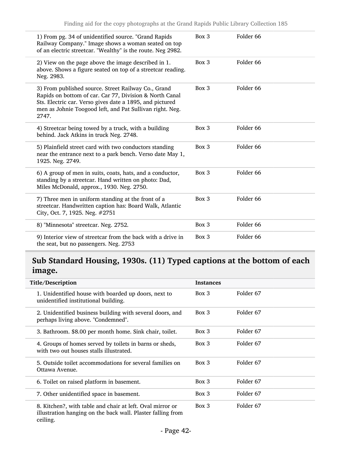| 1) From pg. 34 of unidentified source. "Grand Rapids<br>Railway Company." Image shows a woman seated on top<br>of an electric streetcar. "Wealthy" is the route. Neg 2982.                                                                      | Box 3 | Folder 66            |  |
|-------------------------------------------------------------------------------------------------------------------------------------------------------------------------------------------------------------------------------------------------|-------|----------------------|--|
| 2) View on the page above the image described in 1.<br>above. Shows a figure seated on top of a streetcar reading.<br>Neg. 2983.                                                                                                                | Box 3 | Folder <sub>66</sub> |  |
| 3) From published source. Street Railway Co., Grand<br>Rapids on bottom of car. Car 77, Division & North Canal<br>Sts. Electric car. Verso gives date a 1895, and pictured<br>men as Johnie Toogood left, and Pat Sullivan right. Neg.<br>2747. | Box 3 | Folder <sub>66</sub> |  |
| 4) Streetcar being towed by a truck, with a building<br>behind. Jack Atkins in truck Neg. 2748.                                                                                                                                                 | Box 3 | Folder <sub>66</sub> |  |
| 5) Plainfield street card with two conductors standing<br>near the entrance next to a park bench. Verso date May 1,<br>1925. Neg. 2749.                                                                                                         | Box 3 | Folder 66            |  |
| 6) A group of men in suits, coats, hats, and a conductor,<br>standing by a streetcar. Hand written on photo: Dad,<br>Miles McDonald, approx., 1930. Neg. 2750.                                                                                  | Box 3 | Folder <sub>66</sub> |  |
| 7) Three men in uniform standing at the front of a<br>streetcar. Handwritten caption has: Board Walk, Atlantic<br>City, Oct. 7, 1925. Neg. #2751                                                                                                | Box 3 | Folder <sub>66</sub> |  |
| 8) "Minnesota" streetcar. Neg. 2752.                                                                                                                                                                                                            | Box 3 | Folder 66            |  |
| 9) Interior view of streetcar from the back with a drive in<br>the seat, but no passengers. Neg. 2753                                                                                                                                           | Box 3 | Folder <sub>66</sub> |  |

## <span id="page-41-0"></span>Sub Standard Housing, 1930s. (11) Typed captions at the bottom of each image.

| Title/Description                                                                                                                    | <b>Instances</b> |                      |
|--------------------------------------------------------------------------------------------------------------------------------------|------------------|----------------------|
| 1. Unidentified house with boarded up doors, next to<br>unidentified institutional building.                                         | Box 3            | Folder 67            |
| 2. Unidentified business building with several doors, and<br>perhaps living above. "Condemned".                                      | $Box\ 3$         | Folder <sub>67</sub> |
| 3. Bathroom. \$8.00 per month home. Sink chair, toilet.                                                                              | Box 3            | Folder 67            |
| 4. Groups of homes served by toilets in barns or sheds,<br>with two out houses stalls illustrated.                                   | Box 3            | Folder 67            |
| 5. Outside toilet accommodations for several families on<br>Ottawa Avenue.                                                           | Box 3            | Folder 67            |
| 6. Toilet on raised platform in basement.                                                                                            | Box 3            | Folder 67            |
| 7. Other unidentified space in basement.                                                                                             | $Box\ 3$         | Folder 67            |
| 8. Kitchen?, with table and chair at left. Oval mirror or<br>illustration hanging on the back wall. Plaster falling from<br>ceiling. | Box 3            | Folder 67            |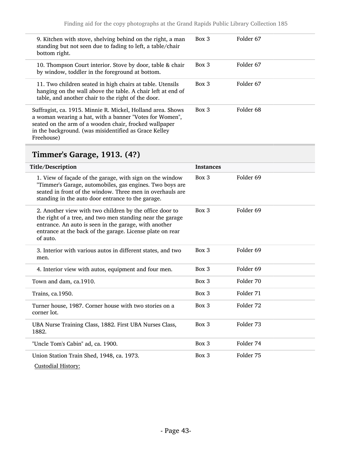| 9. Kitchen with stove, shelving behind on the right, a man<br>standing but not seen due to fading to left, a table/chair<br>bottom right.                                                                                                               | $Box\ 3$ | Folder 67 |
|---------------------------------------------------------------------------------------------------------------------------------------------------------------------------------------------------------------------------------------------------------|----------|-----------|
| 10. Thompson Court interior. Stove by door, table & chair<br>by window, toddler in the foreground at bottom.                                                                                                                                            | $Box\ 3$ | Folder 67 |
| 11. Two children seated in high chairs at table. Utensils<br>hanging on the wall above the table. A chair left at end of<br>table, and another chair to the right of the door.                                                                          | $Box$ 3  | Folder 67 |
| Suffragist, ca. 1915. Minnie R. Mickel, Holland area. Shows<br>a woman wearing a hat, with a banner "Votes for Women",<br>seated on the arm of a wooden chair, frocked wallpaper<br>in the background. (was misidentified as Grace Kelley<br>Freehouse) | Box 3    | Folder 68 |

# <span id="page-42-0"></span>Timmer's Garage, 1913. (4?)

| Title/Description                                                                                                                                                                                                                                      | <b>Instances</b> |                      |
|--------------------------------------------------------------------------------------------------------------------------------------------------------------------------------------------------------------------------------------------------------|------------------|----------------------|
| 1. View of façade of the garage, with sign on the window<br>"Timmer's Garage, automobiles, gas engines. Two boys are<br>seated in front of the window. Three men in overhauls are<br>standing in the auto door entrance to the garage.                 | Box 3            | Folder 69            |
| 2. Another view with two children by the office door to<br>the right of a tree, and two men standing near the garage<br>entrance. An auto is seen in the garage, with another<br>entrance at the back of the garage. License plate on rear<br>of auto. | $Box$ 3          | Folder <sub>69</sub> |
| 3. Interior with various autos in different states, and two<br>men.                                                                                                                                                                                    | $Box$ 3          | Folder <sub>69</sub> |
| 4. Interior view with autos, equipment and four men.                                                                                                                                                                                                   | Box 3            | Folder <sub>69</sub> |
| Town and dam, ca.1910.                                                                                                                                                                                                                                 | $Box$ 3          | Folder 70            |
| Trains, ca.1950.                                                                                                                                                                                                                                       | Box 3            | Folder 71            |
| Turner house, 1987. Corner house with two stories on a<br>corner lot.                                                                                                                                                                                  | $Box$ 3          | Folder 72            |
| UBA Nurse Training Class, 1882. First UBA Nurses Class,<br>1882.                                                                                                                                                                                       | $Box$ 3          | Folder 73            |
| "Uncle Tom's Cabin" ad, ca. 1900.                                                                                                                                                                                                                      | Box 3            | Folder 74            |
| Union Station Train Shed, 1948, ca. 1973.<br><b>Custodial History:</b>                                                                                                                                                                                 | Box 3            | Folder 75            |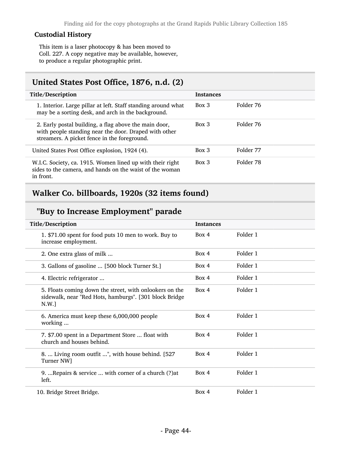#### Custodial History

This item is a laser photocopy & has been moved to Coll. 227. A copy negative may be available, however, to produce a regular photographic print.

#### <span id="page-43-0"></span>United States Post Office, 1876, n.d. (2)

| Title/Description                                                                                                                                              | <b>Instances</b> |           |
|----------------------------------------------------------------------------------------------------------------------------------------------------------------|------------------|-----------|
| 1. Interior. Large pillar at left. Staff standing around what<br>may be a sorting desk, and arch in the background.                                            | Box 3            | Folder 76 |
| 2. Early postal building, a flag above the main door,<br>with people standing near the door. Draped with other<br>streamers. A picket fence in the foreground. | Box 3            | Folder 76 |
| United States Post Office explosion, 1924 (4).                                                                                                                 | Box 3            | Folder 77 |
| W.I.C. Society, ca. 1915. Women lined up with their right<br>sides to the camera, and hands on the waist of the woman<br>in front.                             | Box 3            | Folder 78 |

### <span id="page-43-1"></span>Walker Co. billboards, 1920s (32 items found)

### "Buy to Increase Employment" parade

| Title/Description                                                                                                         | <b>Instances</b> |          |
|---------------------------------------------------------------------------------------------------------------------------|------------------|----------|
| 1. \$71.00 spent for food puts 10 men to work. Buy to<br>increase employment.                                             | Box 4            | Folder 1 |
| 2. One extra glass of milk                                                                                                | Box 4            | Folder 1 |
| 3. Gallons of gasoline  [500 block Turner St.]                                                                            | Box 4            | Folder 1 |
| 4. Electric refrigerator                                                                                                  | Box 4            | Folder 1 |
| 5. Floats coming down the street, with onlookers on the<br>sidewalk, near "Red Hots, hamburgs". [301 block Bridge<br>N.W. | Box 4            | Folder 1 |
| 6. America must keep these 6,000,000 people<br>working                                                                    | Box 4            | Folder 1 |
| 7. \$7.00 spent in a Department Store  float with<br>church and houses behind.                                            | Box 4            | Folder 1 |
| 8.  Living room outfit ", with house behind. [527]<br>Turner NW]                                                          | Box 4            | Folder 1 |
| 9.  Repairs & service  with corner of a church (?) at<br>left.                                                            | Box 4            | Folder 1 |
| 10. Bridge Street Bridge.                                                                                                 | Box 4            | Folder 1 |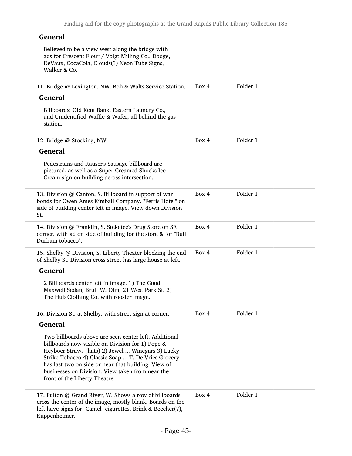#### General Believed to be a view west along the bridge with ads for Crescent Flour / Voigt Milling Co., Dodge, DeVaux, CocaCola, Clouds(?) Neon Tube Signs, Walker & Co. 11. Bridge @ Lexington, NW. Bob & Walts Service Station. General Billboards: Old Kent Bank, Eastern Laundry Co., and Unidentified Waffle & Wafer, all behind the gas station. Box 4 Folder 1 12. Bridge @ Stocking, NW. General Pedestrians and Rauser's Sausage billboard are pictured, as well as a Super Creamed Shocks Ice Cream sign on building across intersection. Box 4 Folder 1 13. Division @ Canton, S. Billboard in support of war bonds for Owen Ames Kimball Company. "Ferris Hotel" on side of building center left in image. View down Division St. Box 4 Folder 1 14. Division @ Franklin, S. Steketee's Drug Store on SE corner, with ad on side of building for the store & for "Bull Durham tobacco". Box 4 Folder 1 15. Shelby @ Division, S. Liberty Theater blocking the end of Shelby St. Division cross street has large house at left. General 2 Billboards center left in image. 1) The Good Maxwell Sedan, Bruff W. Olin, 21 West Park St. 2) The Hub Clothing Co. with rooster image. Box 4 Folder 1 16. Division St. at Shelby, with street sign at corner. General Two billboards above are seen center left. Additional billboards now visible on Division for 1) Pope & Heyboer Straws (hats) 2) Jewel ... Winegars 3) Lucky Strike Tobacco 4) Classic Soap ... T. De Vries Grocery has last two on side or near that building. View of businesses on Division. View taken from near the front of the Liberty Theatre. Box 4 Folder 1 17. Fulton @ Grand River, W. Shows a row of billboards cross the center of the image, mostly blank. Boards on the left have signs for "Camel" cigarettes, Brink & Beecher(?), Kuppenheimer. Box 4 Folder 1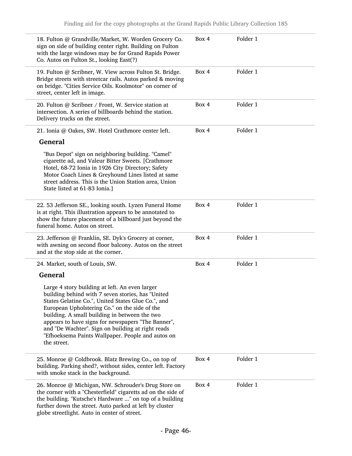| 18. Fulton @ Grandville/Market, W. Worden Grocery Co.<br>sign on side of building center right. Building on Fulton<br>with the large windows may be for Grand Rapids Power<br>Co. Autos on Fulton St., looking East(?)                                                                                                                                                                                                                     | Box 4 | Folder 1 |
|--------------------------------------------------------------------------------------------------------------------------------------------------------------------------------------------------------------------------------------------------------------------------------------------------------------------------------------------------------------------------------------------------------------------------------------------|-------|----------|
| 19. Fulton @ Scribner, W. View across Fulton St. Bridge.<br>Bridge streets with streetcar rails. Autos parked & moving<br>on bridge. "Cities Service Oils. Koolmotor" on corner of<br>street, center left in image.                                                                                                                                                                                                                        | Box 4 | Folder 1 |
| 20. Fulton @ Scribner / Front, W. Service station at<br>intersection. A series of billboards behind the station.<br>Delivery trucks on the street.                                                                                                                                                                                                                                                                                         | Box 4 | Folder 1 |
| 21. Ionia @ Oakes, SW. Hotel Crathmore center left.                                                                                                                                                                                                                                                                                                                                                                                        | Box 4 | Folder 1 |
| <b>General</b>                                                                                                                                                                                                                                                                                                                                                                                                                             |       |          |
| "Bus Depot" sign on neighboring building. "Camel"<br>cigarette ad, and Valeur Bitter Sweets. [Crathmore<br>Hotel, 68-72 Ionia in 1926 City Directory; Safety<br>Motor Coach Lines & Greyhound Lines listed at same<br>street address. This is the Union Station area, Union<br>State listed at 61-83 Ionia.]                                                                                                                               |       |          |
| 22. 53 Jefferson SE., looking south. Lyzen Funeral Home<br>is at right. This illustration appears to be annotated to<br>show the future placement of a billboard just beyond the<br>funeral home. Autos on street.                                                                                                                                                                                                                         | Box 4 | Folder 1 |
| 23. Jefferson @ Franklin, SE. Dyk's Grocery at corner,<br>with awning on second floor balcony. Autos on the street<br>and at the stop side at the corner.                                                                                                                                                                                                                                                                                  | Box 4 | Folder 1 |
| 24. Market, south of Louis, SW.                                                                                                                                                                                                                                                                                                                                                                                                            | Box 4 | Folder 1 |
| <b>General</b>                                                                                                                                                                                                                                                                                                                                                                                                                             |       |          |
| Large 4 story building at left. An even larger<br>building behind with 7 seven stories, has "United<br>States Gelatine Co.", United States Glue Co.", and<br>European Upholstering Co." on the side of the<br>building. A small building in between the two<br>appears to have signs for newspapers "The Banner",<br>and "De Wachter". Sign on building at right reads<br>"Efhoeksema Paints Wallpaper. People and autos on<br>the street. |       |          |
| 25. Monroe @ Coldbrook. Blatz Brewing Co., on top of<br>building. Parking shed?, without sides, center left. Factory<br>with smoke stack in the background.                                                                                                                                                                                                                                                                                | Box 4 | Folder 1 |
| 26. Monroe @ Michigan, NW. Schrouder's Drug Store on<br>the corner with a "Chesterfield" cigaretts ad on the side of<br>the building. "Kutsche's Hardware " on top of a building<br>further down the street. Auto parked at left by cluster<br>globe streetlight. Auto in center of street.                                                                                                                                                | Box 4 | Folder 1 |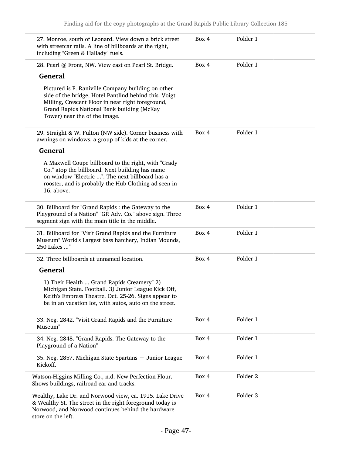| 27. Monroe, south of Leonard. View down a brick street<br>with streetcar rails. A line of billboards at the right,<br>including "Green & Hallady" fuels.                                                                                        | Box 4 | Folder 1            |  |
|-------------------------------------------------------------------------------------------------------------------------------------------------------------------------------------------------------------------------------------------------|-------|---------------------|--|
| 28. Pearl @ Front, NW. View east on Pearl St. Bridge.                                                                                                                                                                                           | Box 4 | Folder 1            |  |
| <b>General</b>                                                                                                                                                                                                                                  |       |                     |  |
| Pictured is F. Raniville Company building on other<br>side of the bridge, Hotel Pantlind behind this. Voigt<br>Milling, Crescent Floor in near right foreground,<br>Grand Rapids National Bank building (McKay<br>Tower) near the of the image. |       |                     |  |
| 29. Straight & W. Fulton (NW side). Corner business with<br>awnings on windows, a group of kids at the corner.                                                                                                                                  | Box 4 | Folder 1            |  |
| <b>General</b>                                                                                                                                                                                                                                  |       |                     |  |
| A Maxwell Coupe billboard to the right, with "Grady<br>Co." atop the billboard. Next building has name<br>on window "Electric ". The next billboard has a<br>rooster, and is probably the Hub Clothing ad seen in<br>16. above.                 |       |                     |  |
| 30. Billboard for "Grand Rapids : the Gateway to the<br>Playground of a Nation" "GR Adv. Co." above sign. Three<br>segment sign with the main title in the middle.                                                                              | Box 4 | Folder 1            |  |
| 31. Billboard for "Visit Grand Rapids and the Furniture<br>Museum" World's Largest bass hatchery, Indian Mounds,<br>250 Lakes "                                                                                                                 | Box 4 | Folder 1            |  |
| 32. Three billboards at unnamed location.                                                                                                                                                                                                       | Box 4 | Folder 1            |  |
| <b>General</b>                                                                                                                                                                                                                                  |       |                     |  |
| 1) Their Health  Grand Rapids Creamery" 2)<br>Michigan State. Football. 3) Junior League Kick Off,<br>Keith's Empress Theatre. Oct. 25-26. Signs appear to<br>be in an vacation lot, with autos, auto on the street.                            |       |                     |  |
| 33. Neg. 2842. "Visit Grand Rapids and the Furniture<br>Museum"                                                                                                                                                                                 | Box 4 | Folder 1            |  |
| 34. Neg. 2848. "Grand Rapids. The Gateway to the<br>Playground of a Nation"                                                                                                                                                                     | Box 4 | Folder 1            |  |
| 35. Neg. 2857. Michigan State Spartans + Junior League<br>Kickoff.                                                                                                                                                                              | Box 4 | Folder 1            |  |
| Watson-Higgins Milling Co., n.d. New Perfection Flour.<br>Shows buildings, railroad car and tracks.                                                                                                                                             | Box 4 | Folder <sub>2</sub> |  |
| Wealthy, Lake Dr. and Norwood view, ca. 1915. Lake Drive<br>& Wealthy St. The street in the right foreground today is<br>Norwood, and Norwood continues behind the hardware<br>store on the left.                                               | Box 4 | Folder <sub>3</sub> |  |